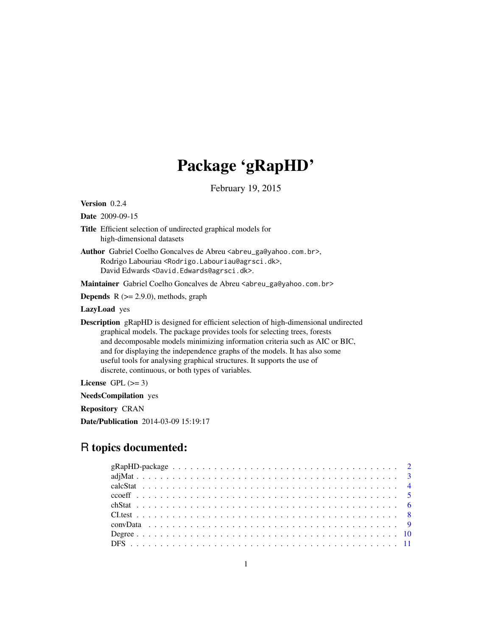## Package 'gRapHD'

February 19, 2015

<span id="page-0-0"></span>Version 0.2.4

Date 2009-09-15

- Title Efficient selection of undirected graphical models for high-dimensional datasets
- Author Gabriel Coelho Goncalves de Abreu <abreu\_ga@yahoo.com.br>, Rodrigo Labouriau <Rodrigo.Labouriau@agrsci.dk>, David Edwards <David.Edwards@agrsci.dk>.

Maintainer Gabriel Coelho Goncalves de Abreu <abreu\_ga@yahoo.com.br>

**Depends**  $R$  ( $>= 2.9.0$ ), methods, graph

LazyLoad yes

Description gRapHD is designed for efficient selection of high-dimensional undirected graphical models. The package provides tools for selecting trees, forests and decomposable models minimizing information criteria such as AIC or BIC, and for displaying the independence graphs of the models. It has also some useful tools for analysing graphical structures. It supports the use of discrete, continuous, or both types of variables.

License GPL  $(>= 3)$ 

NeedsCompilation yes

Repository CRAN

Date/Publication 2014-03-09 15:19:17

## R topics documented: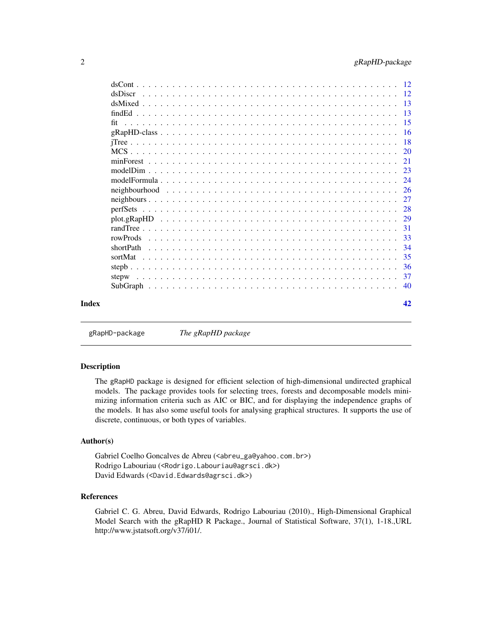<span id="page-1-0"></span>

|       |                                                                                                          | -20 |
|-------|----------------------------------------------------------------------------------------------------------|-----|
|       |                                                                                                          | 21  |
|       |                                                                                                          |     |
|       |                                                                                                          | -24 |
|       |                                                                                                          |     |
|       |                                                                                                          | 27  |
|       |                                                                                                          | -28 |
|       | $plot.gRapHD \ldots \ldots \ldots \ldots \ldots \ldots \ldots \ldots \ldots \ldots \ldots \ldots \ldots$ | 29  |
|       |                                                                                                          | 31  |
|       |                                                                                                          | 33  |
|       | shortPath                                                                                                | -34 |
|       |                                                                                                          | 35  |
|       |                                                                                                          | 36  |
|       | stepw                                                                                                    | 37  |
|       |                                                                                                          | -40 |
| Index |                                                                                                          | 42  |
|       |                                                                                                          |     |

gRapHD-package *The gRapHD package*

## Description

The gRapHD package is designed for efficient selection of high-dimensional undirected graphical models. The package provides tools for selecting trees, forests and decomposable models minimizing information criteria such as AIC or BIC, and for displaying the independence graphs of the models. It has also some useful tools for analysing graphical structures. It supports the use of discrete, continuous, or both types of variables.

## Author(s)

Gabriel Coelho Goncalves de Abreu (<abreu\_ga@yahoo.com.br>) Rodrigo Labouriau (<Rodrigo.Labouriau@agrsci.dk>) David Edwards (<David.Edwards@agrsci.dk>)

## References

Gabriel C. G. Abreu, David Edwards, Rodrigo Labouriau (2010)., High-Dimensional Graphical Model Search with the gRapHD R Package., Journal of Statistical Software, 37(1), 1-18.,URL http://www.jstatsoft.org/v37/i01/.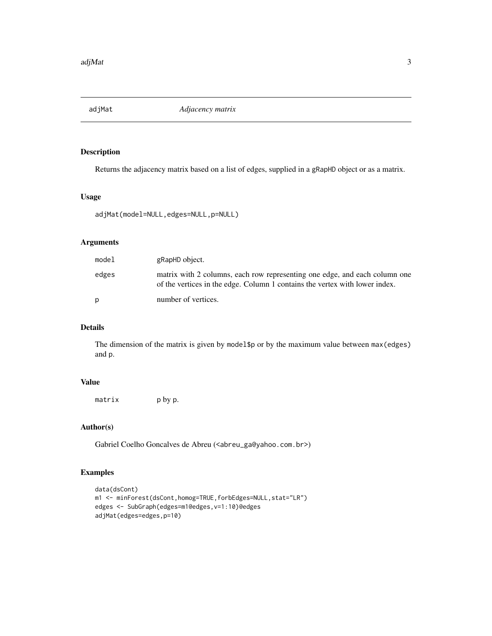<span id="page-2-0"></span>

Returns the adjacency matrix based on a list of edges, supplied in a gRapHD object or as a matrix.

#### Usage

```
adjMat(model=NULL,edges=NULL,p=NULL)
```
#### Arguments

| model | gRapHD object.                                                                                                                                            |
|-------|-----------------------------------------------------------------------------------------------------------------------------------------------------------|
| edges | matrix with 2 columns, each row representing one edge, and each column one<br>of the vertices in the edge. Column 1 contains the vertex with lower index. |
| D     | number of vertices.                                                                                                                                       |

## Details

The dimension of the matrix is given by model\$p or by the maximum value between max(edges) and p.

## Value

matrix p by p.

## Author(s)

Gabriel Coelho Goncalves de Abreu (<abreu\_ga@yahoo.com.br>)

```
data(dsCont)
m1 <- minForest(dsCont,homog=TRUE,forbEdges=NULL,stat="LR")
edges <- SubGraph(edges=m1@edges,v=1:10)@edges
adjMat(edges=edges,p=10)
```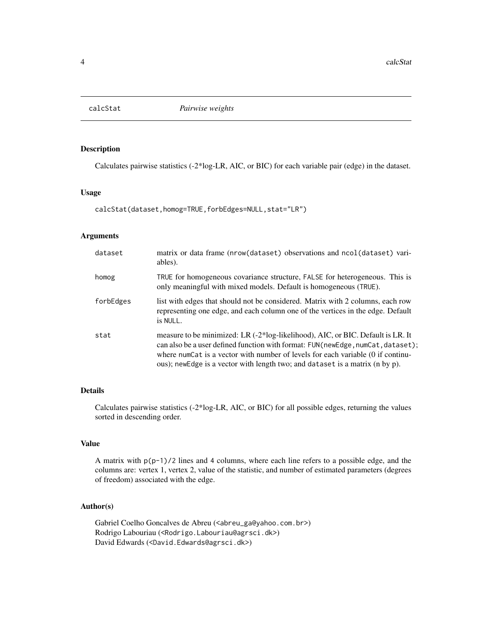<span id="page-3-0"></span>

Calculates pairwise statistics (-2\*log-LR, AIC, or BIC) for each variable pair (edge) in the dataset.

#### Usage

calcStat(dataset,homog=TRUE,forbEdges=NULL,stat="LR")

## Arguments

| dataset   | matrix or data frame (nrow(dataset) observations and ncol(dataset) vari-<br>ables).                                                                                                                                                                                                                                                   |
|-----------|---------------------------------------------------------------------------------------------------------------------------------------------------------------------------------------------------------------------------------------------------------------------------------------------------------------------------------------|
| homog     | TRUE for homogeneous covariance structure, FALSE for heterogeneous. This is<br>only meaningful with mixed models. Default is homogeneous (TRUE).                                                                                                                                                                                      |
| forbEdges | list with edges that should not be considered. Matrix with 2 columns, each row<br>representing one edge, and each column one of the vertices in the edge. Default<br>is NULL.                                                                                                                                                         |
| stat      | measure to be minimized: LR (-2*log-likelihood), AIC, or BIC. Default is LR. It<br>can also be a user defined function with format: FUN(newEdge, numCat, dataset);<br>where numCat is a vector with number of levels for each variable (0 if continu-<br>ous); newEdge is a vector with length two; and dataset is a matrix (n by p). |

## Details

Calculates pairwise statistics (-2\*log-LR, AIC, or BIC) for all possible edges, returning the values sorted in descending order.

## Value

A matrix with  $p(p-1)/2$  lines and 4 columns, where each line refers to a possible edge, and the columns are: vertex 1, vertex 2, value of the statistic, and number of estimated parameters (degrees of freedom) associated with the edge.

#### Author(s)

Gabriel Coelho Goncalves de Abreu (<abreu\_ga@yahoo.com.br>) Rodrigo Labouriau (<Rodrigo.Labouriau@agrsci.dk>) David Edwards (<David.Edwards@agrsci.dk>)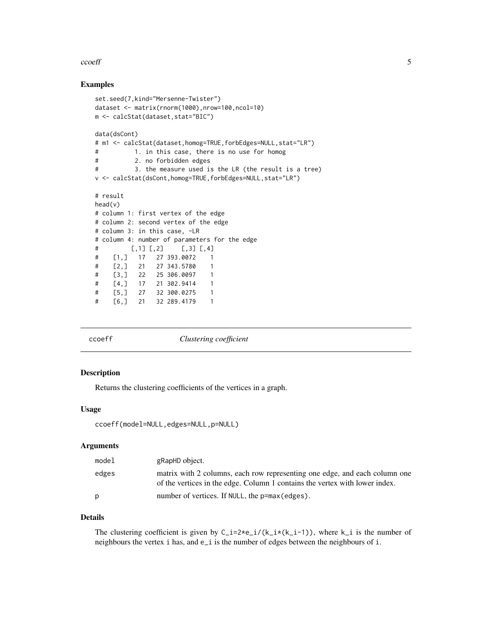#### <span id="page-4-0"></span>ccoeff 5

#### Examples

```
set.seed(7,kind="Mersenne-Twister")
dataset <- matrix(rnorm(1000),nrow=100,ncol=10)
m <- calcStat(dataset,stat="BIC")
data(dsCont)
# m1 <- calcStat(dataset,homog=TRUE,forbEdges=NULL,stat="LR")
# 1. in this case, there is no use for homog
# 2. no forbidden edges
# 3. the measure used is the LR (the result is a tree)
v <- calcStat(dsCont,homog=TRUE,forbEdges=NULL,stat="LR")
# result
head(v)
# column 1: first vertex of the edge
# column 2: second vertex of the edge
# column 3: in this case, -LR
# column 4: number of parameters for the edge
\sharp [,1] [,2] [,3] [,4]
# [1,] 17 27 393.0072 1
# [2,] 21 27 343.5780 1
# [3,] 22 25 306.0097 1
# [4,] 17 21 302.9414 1
# [5,] 27 32 300.0275 1
# [6,] 21 32 289.4179 1
```
ccoeff *Clustering coefficient*

#### Description

Returns the clustering coefficients of the vertices in a graph.

#### Usage

ccoeff(model=NULL,edges=NULL,p=NULL)

## Arguments

| model | gRapHD object.                                                                                                                                            |
|-------|-----------------------------------------------------------------------------------------------------------------------------------------------------------|
| edges | matrix with 2 columns, each row representing one edge, and each column one<br>of the vertices in the edge. Column 1 contains the vertex with lower index. |
| D     | number of vertices. If NULL, the p=max (edges).                                                                                                           |

## Details

The clustering coefficient is given by  $C_i = 2 \star e_i / (k_i \star (k_i - 1))$ , where k<sub>i</sub> is the number of neighbours the vertex i has, and e\_i is the number of edges between the neighbours of i.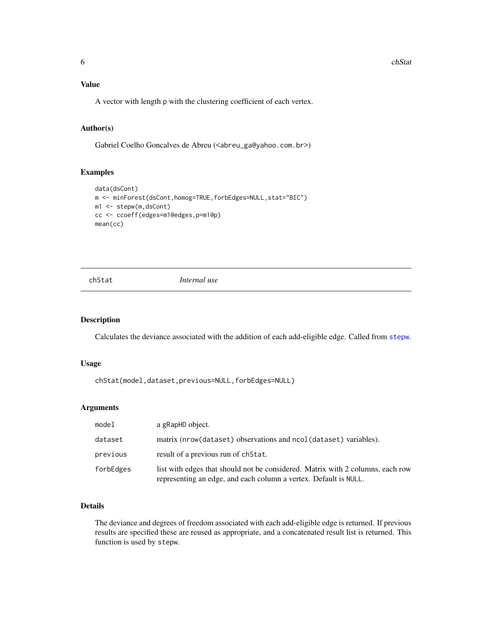## <span id="page-5-0"></span>Value

A vector with length p with the clustering coefficient of each vertex.

## Author(s)

Gabriel Coelho Goncalves de Abreu (<abreu\_ga@yahoo.com.br>)

## Examples

```
data(dsCont)
m <- minForest(dsCont,homog=TRUE,forbEdges=NULL,stat="BIC")
m1 <- stepw(m,dsCont)
cc <- ccoeff(edges=m1@edges,p=m1@p)
mean(cc)
```
<span id="page-5-1"></span>

chStat *Internal use*

#### Description

Calculates the deviance associated with the addition of each add-eligible edge. Called from [stepw](#page-36-1).

#### Usage

chStat(model,dataset,previous=NULL,forbEdges=NULL)

#### Arguments

| model     | a gRapHD object.                                                                                                                                   |
|-----------|----------------------------------------------------------------------------------------------------------------------------------------------------|
| dataset   | matrix (nrow(dataset) observations and ncol(dataset) variables).                                                                                   |
| previous  | result of a previous run of chatat.                                                                                                                |
| forbEdges | list with edges that should not be considered. Matrix with 2 columns, each row<br>representing an edge, and each column a vertex. Default is NULL. |

#### Details

The deviance and degrees of freedom associated with each add-eligible edge is returned. If previous results are specified these are reused as appropriate, and a concatenated result list is returned. This function is used by stepw.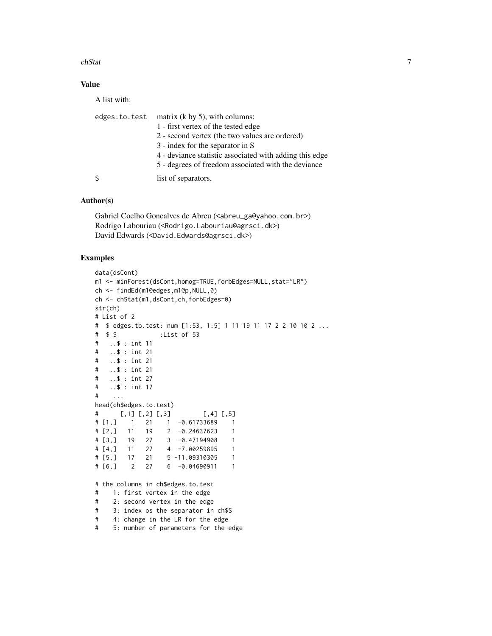#### chStat 7 and 2008 and 2008 and 2008 and 2008 and 2008 and 2008 and 2008 and 2008 and 2008 and 2008 and 2008 and 2008 and 2008 and 2008 and 2008 and 2008 and 2008 and 2008 and 2008 and 2008 and 2008 and 2008 and 2008 and 20

## Value

A list with:

| matrix $(k \text{ by } 5)$ , with columns:<br>edges.to.test |
|-------------------------------------------------------------|
| 1 - first vertex of the tested edge                         |
| 2 - second vertex (the two values are ordered)              |
| 3 - index for the separator in S                            |
| 4 - deviance statistic associated with adding this edge     |
| 5 - degrees of freedom associated with the deviance         |
| list of separators.                                         |
|                                                             |

#### Author(s)

Gabriel Coelho Goncalves de Abreu (<abreu\_ga@yahoo.com.br>) Rodrigo Labouriau (<Rodrigo.Labouriau@agrsci.dk>) David Edwards (<David.Edwards@agrsci.dk>)

```
data(dsCont)
m1 <- minForest(dsCont,homog=TRUE,forbEdges=NULL,stat="LR")
ch <- findEd(m1@edges,m1@p,NULL,0)
ch <- chStat(m1,dsCont,ch,forbEdges=0)
str(ch)
# List of 2
# $ edges.to.test: num [1:53, 1:5] 1 11 19 11 17 2 2 10 10 2 ...
# $ S :List of 53
# ..$ : int 11
# ..$ : int 21
# ..$ : int 21
# ..$ : int 21
# ..$ : int 27
# ..$ : int 17
# ...
head(ch$edges.to.test)
\sharp [,1] [,2] [,3] [,4] [,5]
# [1,] 1 21 1 -0.61733689 1
# [2,] 11 19 2 -0.24637623 1
# [3,] 19 27 3 -0.47194908 1
# [4,] 11 27 4 -7.00259895 1
# [5,] 17 21 5 -11.09310305 1
# [6,] 2 27 6 -0.04690911 1
# the columns in ch$edges.to.test
# 1: first vertex in the edge
# 2: second vertex in the edge
# 3: index os the separator in ch$S
# 4: change in the LR for the edge
# 5: number of parameters for the edge
```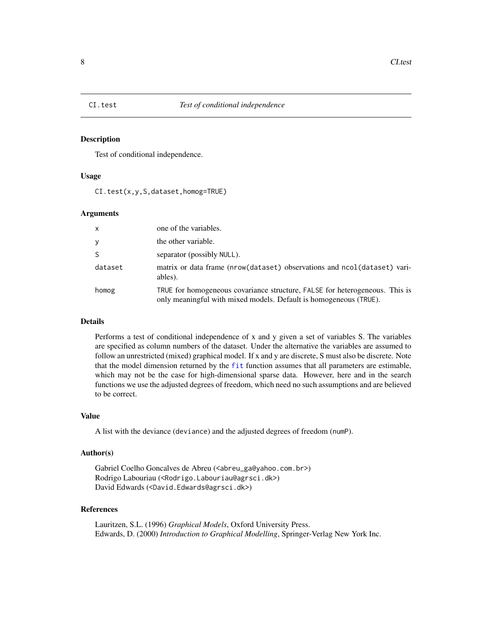<span id="page-7-0"></span>

Test of conditional independence.

## Usage

CI.test(x,y,S,dataset,homog=TRUE)

#### **Arguments**

| $\mathsf{x}$ | one of the variables.                                                                                                                            |
|--------------|--------------------------------------------------------------------------------------------------------------------------------------------------|
| y            | the other variable.                                                                                                                              |
| <sub>S</sub> | separator (possibly NULL).                                                                                                                       |
| dataset      | matrix or data frame (nrow(dataset) observations and ncol(dataset) vari-<br>ables).                                                              |
| homog        | TRUE for homogeneous covariance structure, FALSE for heterogeneous. This is<br>only meaningful with mixed models. Default is homogeneous (TRUE). |

#### Details

Performs a test of conditional independence of x and y given a set of variables S. The variables are specified as column numbers of the dataset. Under the alternative the variables are assumed to follow an unrestricted (mixed) graphical model. If x and y are discrete, S must also be discrete. Note that the model dimension returned by the [fit](#page-14-1) function assumes that all parameters are estimable, which may not be the case for high-dimensional sparse data. However, here and in the search functions we use the adjusted degrees of freedom, which need no such assumptions and are believed to be correct.

## Value

A list with the deviance (deviance) and the adjusted degrees of freedom (numP).

#### Author(s)

Gabriel Coelho Goncalves de Abreu (<abreu\_ga@yahoo.com.br>) Rodrigo Labouriau (<Rodrigo.Labouriau@agrsci.dk>) David Edwards (<David.Edwards@agrsci.dk>)

## References

Lauritzen, S.L. (1996) *Graphical Models*, Oxford University Press. Edwards, D. (2000) *Introduction to Graphical Modelling*, Springer-Verlag New York Inc.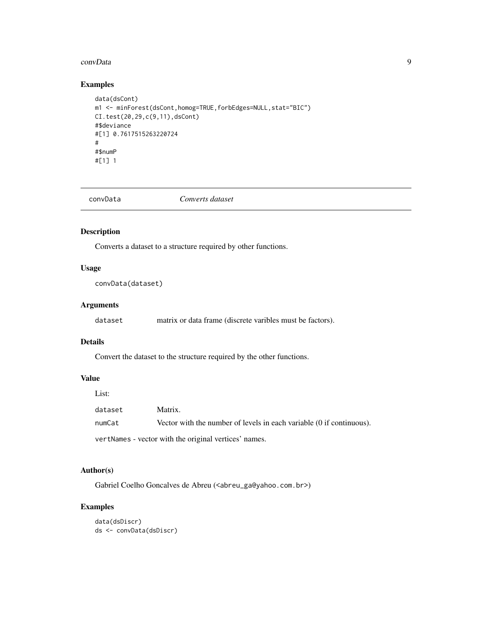#### <span id="page-8-0"></span>convData 9

## Examples

```
data(dsCont)
m1 <- minForest(dsCont,homog=TRUE,forbEdges=NULL,stat="BIC")
CI.test(20,29,c(9,11),dsCont)
#$deviance
#[1] 0.7617515263220724
#
#$numP
#[1] 1
```
convData *Converts dataset*

## Description

Converts a dataset to a structure required by other functions.

## Usage

convData(dataset)

## Arguments

| dataset |  | matrix or data frame (discrete varibles must be factors). |  |  |  |  |  |  |
|---------|--|-----------------------------------------------------------|--|--|--|--|--|--|
|---------|--|-----------------------------------------------------------|--|--|--|--|--|--|

## Details

Convert the dataset to the structure required by the other functions.

#### Value

| List:   |                                                                      |
|---------|----------------------------------------------------------------------|
| dataset | Matrix.                                                              |
| numCat  | Vector with the number of levels in each variable (0 if continuous). |

vertNames - vector with the original vertices' names.

## Author(s)

Gabriel Coelho Goncalves de Abreu (<abreu\_ga@yahoo.com.br>)

```
data(dsDiscr)
ds <- convData(dsDiscr)
```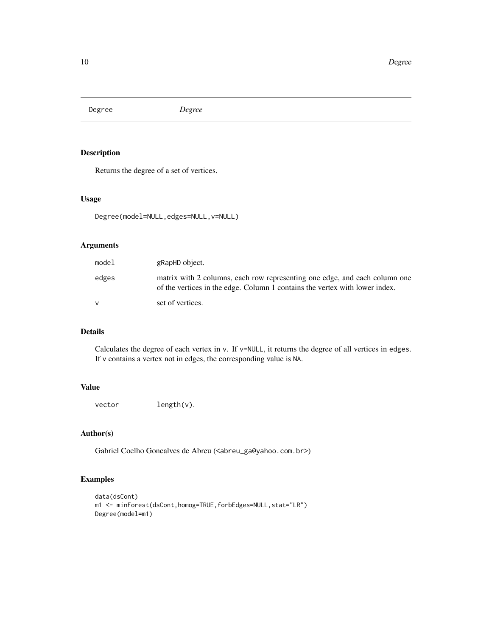<span id="page-9-0"></span>Degree *Degree*

## Description

Returns the degree of a set of vertices.

## Usage

```
Degree(model=NULL,edges=NULL,v=NULL)
```
## Arguments

| model        | gRapHD object.                                                                                                                                            |
|--------------|-----------------------------------------------------------------------------------------------------------------------------------------------------------|
| edges        | matrix with 2 columns, each row representing one edge, and each column one<br>of the vertices in the edge. Column 1 contains the vertex with lower index. |
| $\mathsf{V}$ | set of vertices.                                                                                                                                          |

## Details

Calculates the degree of each vertex in v. If v=NULL, it returns the degree of all vertices in edges. If v contains a vertex not in edges, the corresponding value is NA.

## Value

vector length(v).

## Author(s)

Gabriel Coelho Goncalves de Abreu (<abreu\_ga@yahoo.com.br>)

```
data(dsCont)
m1 <- minForest(dsCont,homog=TRUE,forbEdges=NULL,stat="LR")
Degree(model=m1)
```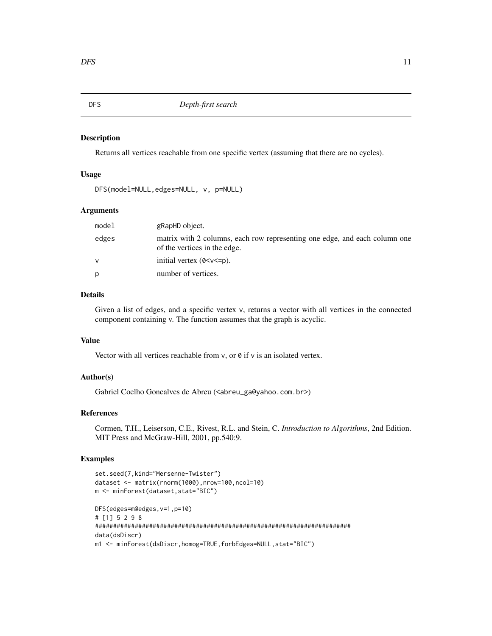<span id="page-10-0"></span>DFS *Depth-first search*

#### Description

Returns all vertices reachable from one specific vertex (assuming that there are no cycles).

#### Usage

```
DFS(model=NULL,edges=NULL, v, p=NULL)
```
#### Arguments

| model | gRapHD object.                                                                                             |
|-------|------------------------------------------------------------------------------------------------------------|
| edges | matrix with 2 columns, each row representing one edge, and each column one<br>of the vertices in the edge. |
| v     | initial vertex $(0 < v < p)$ .                                                                             |
| p     | number of vertices.                                                                                        |

## Details

Given a list of edges, and a specific vertex v, returns a vector with all vertices in the connected component containing v. The function assumes that the graph is acyclic.

## Value

Vector with all vertices reachable from  $v$ , or  $\theta$  if  $v$  is an isolated vertex.

#### Author(s)

Gabriel Coelho Goncalves de Abreu (<abreu\_ga@yahoo.com.br>)

#### References

Cormen, T.H., Leiserson, C.E., Rivest, R.L. and Stein, C. *Introduction to Algorithms*, 2nd Edition. MIT Press and McGraw-Hill, 2001, pp.540:9.

```
set.seed(7,kind="Mersenne-Twister")
dataset <- matrix(rnorm(1000),nrow=100,ncol=10)
m <- minForest(dataset,stat="BIC")
DFS(edges=m@edges,v=1,p=10)
# [1] 5 2 9 8
#######################################################################
data(dsDiscr)
m1 <- minForest(dsDiscr,homog=TRUE,forbEdges=NULL,stat="BIC")
```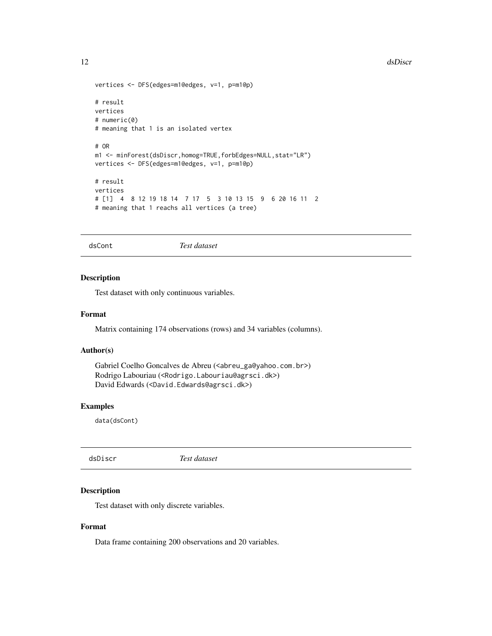#### <span id="page-11-0"></span>12 dsDiscr

```
vertices <- DFS(edges=m1@edges, v=1, p=m1@p)
# result
vertices
# numeric(0)
# meaning that 1 is an isolated vertex
# OR
m1 <- minForest(dsDiscr,homog=TRUE,forbEdges=NULL,stat="LR")
vertices <- DFS(edges=m1@edges, v=1, p=m1@p)
# result
vertices
# [1] 4 8 12 19 18 14 7 17 5 3 10 13 15 9 6 20 16 11 2
# meaning that 1 reachs all vertices (a tree)
```
dsCont *Test dataset*

#### Description

Test dataset with only continuous variables.

## Format

Matrix containing 174 observations (rows) and 34 variables (columns).

## Author(s)

```
Gabriel Coelho Goncalves de Abreu (<abreu_ga@yahoo.com.br>)
Rodrigo Labouriau (<Rodrigo.Labouriau@agrsci.dk>)
David Edwards (<David.Edwards@agrsci.dk>)
```
## Examples

data(dsCont)

dsDiscr *Test dataset*

## Description

Test dataset with only discrete variables.

## Format

Data frame containing 200 observations and 20 variables.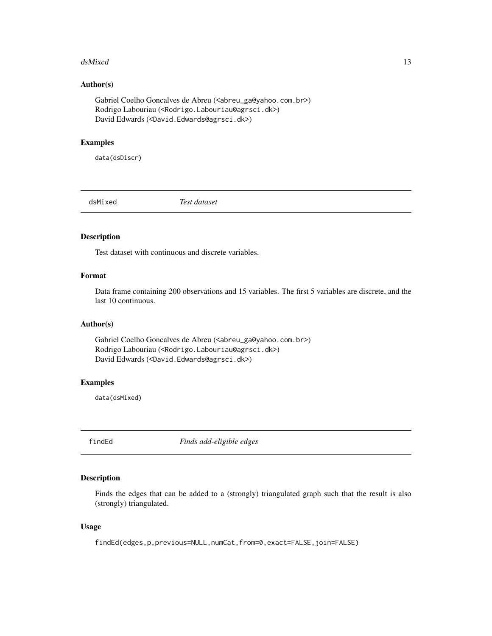#### <span id="page-12-0"></span>dsMixed 13

#### Author(s)

Gabriel Coelho Goncalves de Abreu (<abreu\_ga@yahoo.com.br>) Rodrigo Labouriau (<Rodrigo.Labouriau@agrsci.dk>) David Edwards (<David.Edwards@agrsci.dk>)

## Examples

data(dsDiscr)

dsMixed *Test dataset*

#### Description

Test dataset with continuous and discrete variables.

## Format

Data frame containing 200 observations and 15 variables. The first 5 variables are discrete, and the last 10 continuous.

#### Author(s)

Gabriel Coelho Goncalves de Abreu (<abreu\_ga@yahoo.com.br>) Rodrigo Labouriau (<Rodrigo.Labouriau@agrsci.dk>) David Edwards (<David.Edwards@agrsci.dk>)

#### Examples

data(dsMixed)

<span id="page-12-1"></span>findEd *Finds add-eligible edges*

## Description

Finds the edges that can be added to a (strongly) triangulated graph such that the result is also (strongly) triangulated.

#### Usage

findEd(edges,p,previous=NULL,numCat,from=0,exact=FALSE,join=FALSE)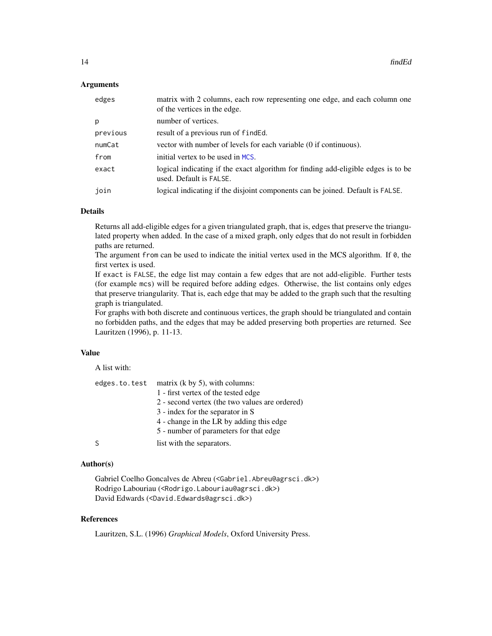#### <span id="page-13-0"></span>**Arguments**

| edges    | matrix with 2 columns, each row representing one edge, and each column one<br>of the vertices in the edge.   |
|----------|--------------------------------------------------------------------------------------------------------------|
| р        | number of vertices.                                                                                          |
| previous | result of a previous run of finded.                                                                          |
| numCat   | vector with number of levels for each variable (0 if continuous).                                            |
| from     | initial vertex to be used in MCS.                                                                            |
| exact    | logical indicating if the exact algorithm for finding add-eligible edges is to be<br>used. Default is FALSE. |
| join     | logical indicating if the disjoint components can be joined. Default is FALSE.                               |

#### Details

Returns all add-eligible edges for a given triangulated graph, that is, edges that preserve the triangulated property when added. In the case of a mixed graph, only edges that do not result in forbidden paths are returned.

The argument from can be used to indicate the initial vertex used in the MCS algorithm. If 0, the first vertex is used.

If exact is FALSE, the edge list may contain a few edges that are not add-eligible. Further tests (for example mcs) will be required before adding edges. Otherwise, the list contains only edges that preserve triangularity. That is, each edge that may be added to the graph such that the resulting graph is triangulated.

For graphs with both discrete and continuous vertices, the graph should be triangulated and contain no forbidden paths, and the edges that may be added preserving both properties are returned. See Lauritzen (1996), p. 11-13.

## Value

A list with:

| edges.to.test | matrix $(k \text{ by } 5)$ , with columns:     |
|---------------|------------------------------------------------|
|               | 1 - first vertex of the tested edge            |
|               | 2 - second vertex (the two values are ordered) |
|               | 3 - index for the separator in S               |
|               | 4 - change in the LR by adding this edge       |
|               | 5 - number of parameters for that edge         |
|               | list with the separators.                      |

#### Author(s)

Gabriel Coelho Goncalves de Abreu (<Gabriel.Abreu@agrsci.dk>) Rodrigo Labouriau (<Rodrigo.Labouriau@agrsci.dk>) David Edwards (<David.Edwards@agrsci.dk>)

#### References

Lauritzen, S.L. (1996) *Graphical Models*, Oxford University Press.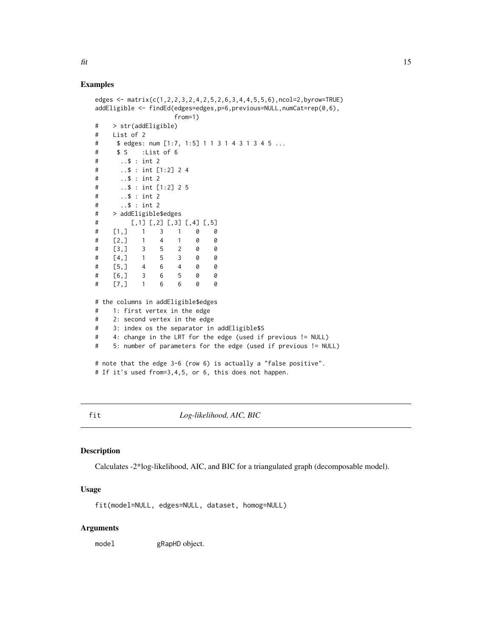#### <span id="page-14-0"></span>Examples

```
edges <- matrix(c(1,2,2,3,2,4,2,5,2,6,3,4,4,5,5,6),ncol=2,byrow=TRUE)
addEligible <- findEd(edges=edges,p=6,previous=NULL,numCat=rep(0,6),
                  from=1)
# > str(addEligible)
# List of 2
# $ edges: num [1:7, 1:5] 1 1 3 1 4 3 1 3 4 5 ...
# $ S :List of 6
# ..$ : int 2
# ..$ : int [1:2] 2 4
# ..$ : int 2
# ..$ : int [1:2] 2 5
# ..$ : int 2
# ..$ : int 2
# > addEligible$edges
# [,1] [,2] [,3] [,4] [,5]
# [1,] 1 3 1 0 0
# [2,] 1 4 1 0 0
# [3,] 3 5 2 0 0
# [4,] 1 5 3 0 0
# [5,] 4 6 4 0 0
# [6,] 3 6 5 0 0
# [7,] 1 6 6 0 0
# the columns in addEligible$edges
# 1: first vertex in the edge
# 2: second vertex in the edge
# 3: index os the separator in addEligible$S
# 4: change in the LRT for the edge (used if previous != NULL)
# 5: number of parameters for the edge (used if previous != NULL)
# note that the edge 3-6 (row 6) is actually a "false positive".
# If it's used from=3,4,5, or 6, this does not happen.
```
<span id="page-14-1"></span>fit *Log-likelihood, AIC, BIC*

## Description

Calculates -2\*log-likelihood, AIC, and BIC for a triangulated graph (decomposable model).

#### Usage

fit(model=NULL, edges=NULL, dataset, homog=NULL)

#### Arguments

model gRapHD object.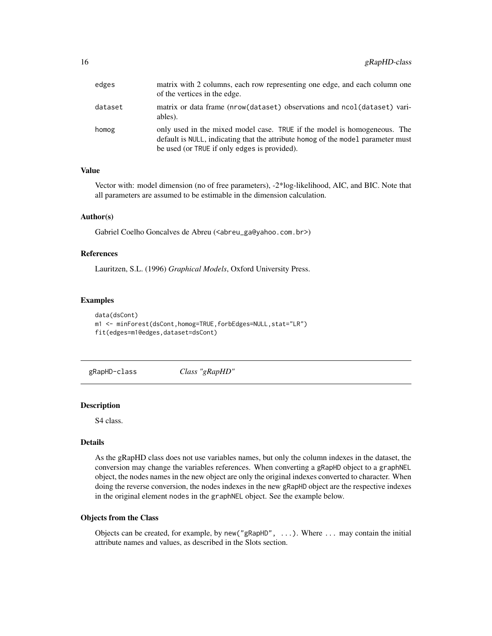<span id="page-15-0"></span>

| edges   | matrix with 2 columns, each row representing one edge, and each column one<br>of the vertices in the edge.                                                                                                   |
|---------|--------------------------------------------------------------------------------------------------------------------------------------------------------------------------------------------------------------|
| dataset | matrix or data frame (nrow(dataset) observations and ncol(dataset) vari-<br>ables).                                                                                                                          |
| homog   | only used in the mixed model case. TRUE if the model is homogeneous. The<br>default is NULL, indicating that the attribute homog of the model parameter must<br>be used (or TRUE if only edges is provided). |

## Value

Vector with: model dimension (no of free parameters), -2\*log-likelihood, AIC, and BIC. Note that all parameters are assumed to be estimable in the dimension calculation.

## Author(s)

Gabriel Coelho Goncalves de Abreu (<abreu\_ga@yahoo.com.br>)

#### References

Lauritzen, S.L. (1996) *Graphical Models*, Oxford University Press.

#### Examples

```
data(dsCont)
m1 <- minForest(dsCont,homog=TRUE,forbEdges=NULL,stat="LR")
fit(edges=m1@edges,dataset=dsCont)
```
gRapHD-class *Class "gRapHD"*

## Description

S4 class.

## Details

As the gRapHD class does not use variables names, but only the column indexes in the dataset, the conversion may change the variables references. When converting a gRapHD object to a graphNEL object, the nodes names in the new object are only the original indexes converted to character. When doing the reverse conversion, the nodes indexes in the new gRapHD object are the respective indexes in the original element nodes in the graphNEL object. See the example below.

## Objects from the Class

Objects can be created, for example, by new("gRapHD", ...). Where ... may contain the initial attribute names and values, as described in the Slots section.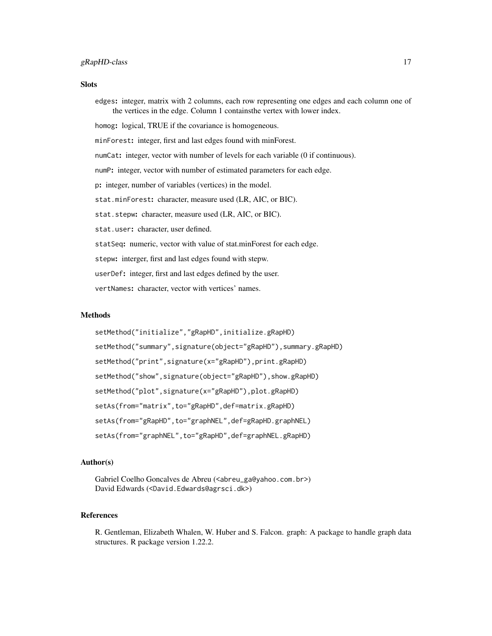#### **Slots**

edges: integer, matrix with 2 columns, each row representing one edges and each column one of the vertices in the edge. Column 1 containsthe vertex with lower index. homog: logical, TRUE if the covariance is homogeneous. minForest: integer, first and last edges found with minForest. numCat: integer, vector with number of levels for each variable (0 if continuous). numP: integer, vector with number of estimated parameters for each edge. p: integer, number of variables (vertices) in the model. stat.minForest: character, measure used (LR, AIC, or BIC). stat.stepw: character, measure used (LR, AIC, or BIC). stat.user: character, user defined. statSeq: numeric, vector with value of stat.minForest for each edge. stepw: interger, first and last edges found with stepw. userDef: integer, first and last edges defined by the user. vertNames: character, vector with vertices' names.

## Methods

```
setMethod("initialize","gRapHD",initialize.gRapHD)
setMethod("summary",signature(object="gRapHD"),summary.gRapHD)
setMethod("print",signature(x="gRapHD"),print.gRapHD)
setMethod("show",signature(object="gRapHD"),show.gRapHD)
setMethod("plot",signature(x="gRapHD"),plot.gRapHD)
setAs(from="matrix",to="gRapHD",def=matrix.gRapHD)
setAs(from="gRapHD",to="graphNEL",def=gRapHD.graphNEL)
setAs(from="graphNEL",to="gRapHD",def=graphNEL.gRapHD)
```
## Author(s)

Gabriel Coelho Goncalves de Abreu (<abreu\_ga@yahoo.com.br>) David Edwards (<David.Edwards@agrsci.dk>)

#### References

R. Gentleman, Elizabeth Whalen, W. Huber and S. Falcon. graph: A package to handle graph data structures. R package version 1.22.2.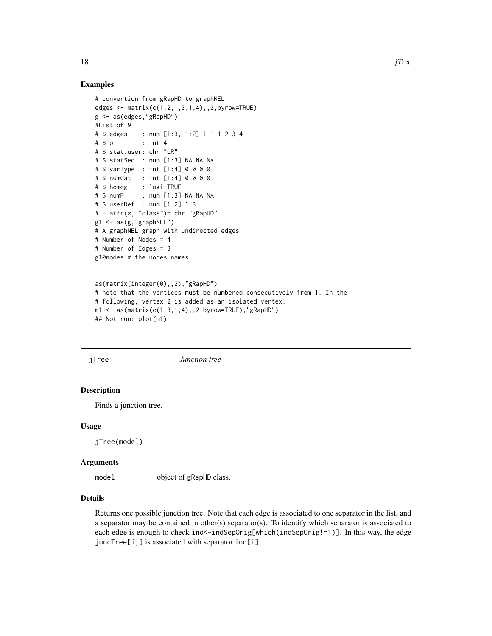#### Examples

```
# convertion from gRapHD to graphNEL
edges <- matrix(c(1,2,1,3,1,4),,2,byrow=TRUE)
g <- as(edges,"gRapHD")
#List of 9
# $ edges : num [1:3, 1:2] 1 1 1 2 3 4
# $ p : int 4
# $ stat.user: chr "LR"
# $ statSeq : num [1:3] NA NA NA
# $ varType : int [1:4] 0 0 0 0
# $ numCat : int [1:4] 0 0 0 0
# $ homog : logi TRUE
# $ numP : num [1:3] NA NA NA
# $ userDef : num [1:2] 1 3
# - attr(*, "class")= chr "gRapHD"
g1 \leftarrow as(g, "graphNEL")# A graphNEL graph with undirected edges
# Number of Nodes = 4
# Number of Edges = 3
g1@nodes # the nodes names
as(matrix(integer(0),,2),"gRapHD")
# note that the vertices must be numbered consecutively from 1. In the
# following, vertex 2 is added as an isolated vertex.
m1 \leq -as(matrix(c(1,3,1,4),0,2,byrow=True),''gRapHD")
```

```
## Not run: plot(m1)
```
jTree *Junction tree*

#### Description

Finds a junction tree.

#### Usage

jTree(model)

#### Arguments

model object of gRapHD class.

#### Details

Returns one possible junction tree. Note that each edge is associated to one separator in the list, and a separator may be contained in other(s) separator(s). To identify which separator is associated to each edge is enough to check ind<-indSepOrig[which(indSepOrig!=1)]. In this way, the edge juncTree[i,] is associated with separator ind[i].

<span id="page-17-0"></span>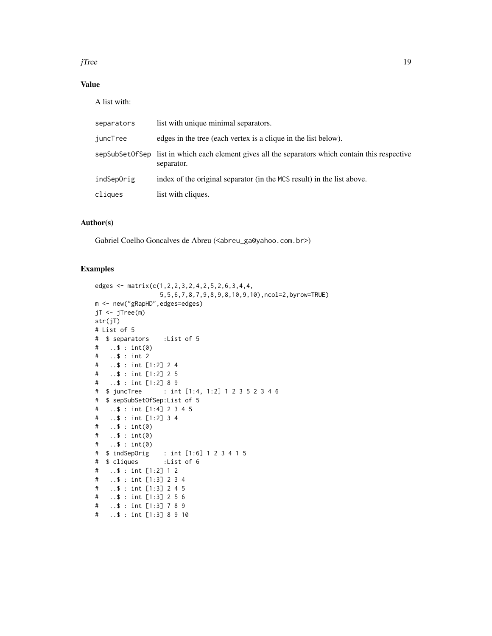$j$ Tree  $19$ 

## Value

A list with:

| separators | list with unique minimal separators.                                                                           |
|------------|----------------------------------------------------------------------------------------------------------------|
| juncTree   | edges in the tree (each vertex is a clique in the list below).                                                 |
|            | sepSubSetOfSep list in which each element gives all the separators which contain this respective<br>separator. |
| indSepOrig | index of the original separator (in the MCS result) in the list above.                                         |
| cliques    | list with cliques.                                                                                             |

#### Author(s)

Gabriel Coelho Goncalves de Abreu (<abreu\_ga@yahoo.com.br>)

```
edges <- matrix(c(1,2,2,3,2,4,2,5,2,6,3,4,4,
                5,5,6,7,8,7,9,8,9,8,10,9,10),ncol=2,byrow=TRUE)
m <- new("gRapHD",edges=edges)
jT <- jTree(m)
str(jT)
# List of 5
# $ separators :List of 5
# ..$ : int(0)
# ..$ : int 2
# ..$ : int [1:2] 2 4
# ..$ : int [1:2] 2 5
  ..$ : int [1:2] 8 9
# $ juncTree : int [1:4, 1:2] 1 2 3 5 2 3 4 6
# $ sepSubSetOfSep:List of 5
# ..$ : int [1:4] 2 3 4 5
# ..$ : int [1:2] 3 4
# ..$ : int(0)
# ..$ : int(0)
# ..$ : int(0)
# $ indSepOrig : int [1:6] 1 2 3 4 1 5
# $ cliques :List of 6
# ..$ : int [1:2] 1 2
# ..$ : int [1:3] 2 3 4
# ..$ : int [1:3] 2 4 5
# ..$ : int [1:3] 2 5 6
# ..$ : int [1:3] 7 8 9
# ..$ : int [1:3] 8 9 10
```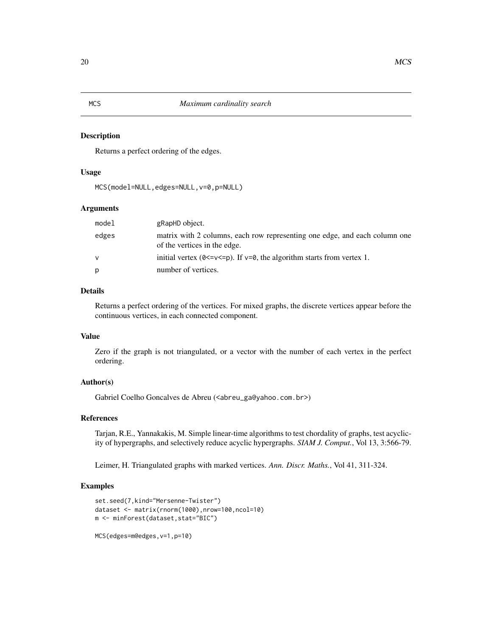Returns a perfect ordering of the edges.

## Usage

MCS(model=NULL,edges=NULL,v=0,p=NULL)

## Arguments

| model | gRapHD object.                                                                                             |
|-------|------------------------------------------------------------------------------------------------------------|
| edges | matrix with 2 columns, each row representing one edge, and each column one<br>of the vertices in the edge. |
| v     | initial vertex ( $0 \le v \le p$ ). If $v = 0$ , the algorithm starts from vertex 1.                       |
| р     | number of vertices.                                                                                        |

## Details

Returns a perfect ordering of the vertices. For mixed graphs, the discrete vertices appear before the continuous vertices, in each connected component.

## Value

Zero if the graph is not triangulated, or a vector with the number of each vertex in the perfect ordering.

## Author(s)

Gabriel Coelho Goncalves de Abreu (<abreu\_ga@yahoo.com.br>)

#### References

Tarjan, R.E., Yannakakis, M. Simple linear-time algorithms to test chordality of graphs, test acyclicity of hypergraphs, and selectively reduce acyclic hypergraphs. *SIAM J. Comput.*, Vol 13, 3:566-79.

Leimer, H. Triangulated graphs with marked vertices. *Ann. Discr. Maths.*, Vol 41, 311-324.

## Examples

```
set.seed(7,kind="Mersenne-Twister")
dataset <- matrix(rnorm(1000),nrow=100,ncol=10)
m <- minForest(dataset,stat="BIC")
```
## <span id="page-19-0"></span>20 MCS

<span id="page-19-1"></span>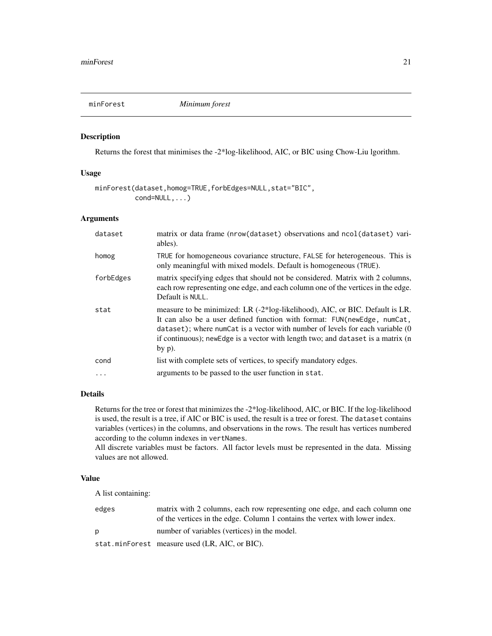<span id="page-20-1"></span><span id="page-20-0"></span>

Returns the forest that minimises the -2\*log-likelihood, AIC, or BIC using Chow-Liu lgorithm.

## Usage

```
minForest(dataset,homog=TRUE,forbEdges=NULL,stat="BIC",
          cond=NULL,...)
```
## Arguments

| dataset   | matrix or data frame (nrow(dataset) observations and ncol(dataset) vari-<br>ables).                                                                                                                                                                                                                                                        |
|-----------|--------------------------------------------------------------------------------------------------------------------------------------------------------------------------------------------------------------------------------------------------------------------------------------------------------------------------------------------|
| homog     | TRUE for homogeneous covariance structure, FALSE for heterogeneous. This is<br>only meaningful with mixed models. Default is homogeneous (TRUE).                                                                                                                                                                                           |
| forbEdges | matrix specifying edges that should not be considered. Matrix with 2 columns,<br>each row representing one edge, and each column one of the vertices in the edge.<br>Default is NULL.                                                                                                                                                      |
| stat      | measure to be minimized: LR (-2*log-likelihood), AIC, or BIC. Default is LR.<br>It can also be a user defined function with format: FUN(newEdge, numCat,<br>dataset); where numCat is a vector with number of levels for each variable (0<br>if continuous); new Edge is a vector with length two; and dataset is a matrix (n<br>by $p$ ). |
| cond      | list with complete sets of vertices, to specify mandatory edges.                                                                                                                                                                                                                                                                           |
|           | arguments to be passed to the user function in stat.                                                                                                                                                                                                                                                                                       |

#### Details

Returns for the tree or forest that minimizes the -2\*log-likelihood, AIC, or BIC. If the log-likelihood is used, the result is a tree, if AIC or BIC is used, the result is a tree or forest. The dataset contains variables (vertices) in the columns, and observations in the rows. The result has vertices numbered according to the column indexes in vertNames.

All discrete variables must be factors. All factor levels must be represented in the data. Missing values are not allowed.

#### Value

A list containing:

| edges | matrix with 2 columns, each row representing one edge, and each column one<br>of the vertices in the edge. Column 1 contains the vertex with lower index. |
|-------|-----------------------------------------------------------------------------------------------------------------------------------------------------------|
| D     | number of variables (vertices) in the model.                                                                                                              |
|       | stat.minForest measure used (LR, AIC, or BIC).                                                                                                            |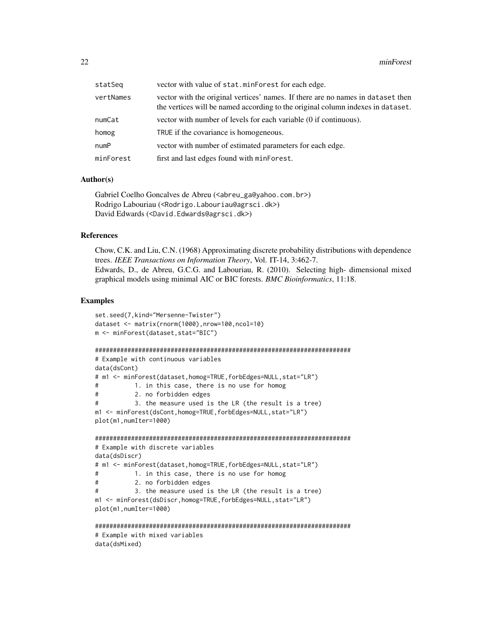| statSeq   | vector with value of stat.minForest for each edge.                                                                                                                 |
|-----------|--------------------------------------------------------------------------------------------------------------------------------------------------------------------|
| vertNames | vector with the original vertices' names. If there are no names in dataset then<br>the vertices will be named according to the original column indexes in dataset. |
| numCat    | vector with number of levels for each variable (0 if continuous).                                                                                                  |
| homog     | TRUE if the covariance is homogeneous.                                                                                                                             |
| numP      | vector with number of estimated parameters for each edge.                                                                                                          |
| minForest | first and last edges found with minForest.                                                                                                                         |

#### Author(s)

```
Gabriel Coelho Goncalves de Abreu (<abreu_ga@yahoo.com.br>)
Rodrigo Labouriau (<Rodrigo.Labouriau@agrsci.dk>)
David Edwards (<David.Edwards@agrsci.dk>)
```
#### References

Chow, C.K. and Liu, C.N. (1968) Approximating discrete probability distributions with dependence trees. *IEEE Transactions on Information Theory*, Vol. IT-14, 3:462-7. Edwards, D., de Abreu, G.C.G. and Labouriau, R. (2010). Selecting high- dimensional mixed graphical models using minimal AIC or BIC forests. *BMC Bioinformatics*, 11:18.

```
set.seed(7,kind="Mersenne-Twister")
dataset <- matrix(rnorm(1000),nrow=100,ncol=10)
m <- minForest(dataset,stat="BIC")
#######################################################################
# Example with continuous variables
data(dsCont)
# m1 <- minForest(dataset,homog=TRUE,forbEdges=NULL,stat="LR")
# 1. in this case, there is no use for homog
# 2. no forbidden edges
# 3. the measure used is the LR (the result is a tree)
m1 <- minForest(dsCont,homog=TRUE,forbEdges=NULL,stat="LR")
plot(m1,numIter=1000)
#######################################################################
# Example with discrete variables
data(dsDiscr)
# m1 <- minForest(dataset,homog=TRUE,forbEdges=NULL,stat="LR")
# 1. in this case, there is no use for homog
# 2. no forbidden edges
# 3. the measure used is the LR (the result is a tree)
m1 <- minForest(dsDiscr,homog=TRUE,forbEdges=NULL,stat="LR")
plot(m1,numIter=1000)
#######################################################################
```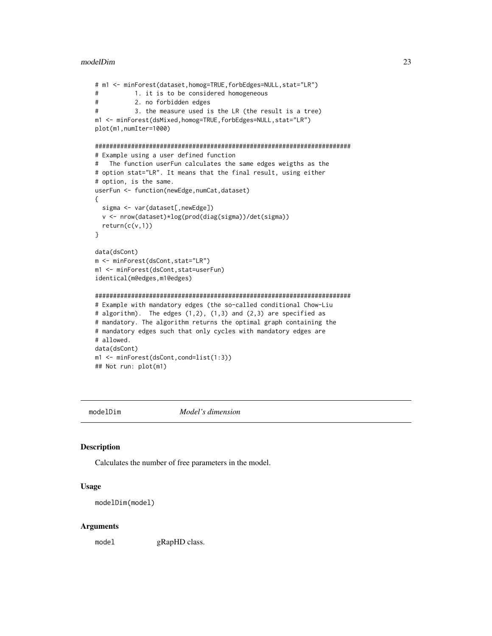#### <span id="page-22-0"></span>modelDim 23

```
# m1 <- minForest(dataset,homog=TRUE,forbEdges=NULL,stat="LR")
# 1. it is to be considered homogeneous
# 2. no forbidden edges
# 3. the measure used is the LR (the result is a tree)
m1 <- minForest(dsMixed,homog=TRUE,forbEdges=NULL,stat="LR")
plot(m1,numIter=1000)
#######################################################################
# Example using a user defined function
# The function userFun calculates the same edges weigths as the
# option stat="LR". It means that the final result, using either
# option, is the same.
userFun <- function(newEdge,numCat,dataset)
{
 sigma <- var(dataset[, newEdge])
 v <- nrow(dataset)*log(prod(diag(sigma))/det(sigma))
 return(c(v,1))
}
data(dsCont)
m <- minForest(dsCont,stat="LR")
m1 <- minForest(dsCont,stat=userFun)
identical(m@edges,m1@edges)
#######################################################################
# Example with mandatory edges (the so-called conditional Chow-Liu
# algorithm). The edges (1,2), (1,3) and (2,3) are specified as
# mandatory. The algorithm returns the optimal graph containing the
# mandatory edges such that only cycles with mandatory edges are
# allowed.
data(dsCont)
m1 <- minForest(dsCont,cond=list(1:3))
## Not run: plot(m1)
```
modelDim *Model's dimension*

#### Description

Calculates the number of free parameters in the model.

#### Usage

```
modelDim(model)
```
#### Arguments

model gRapHD class.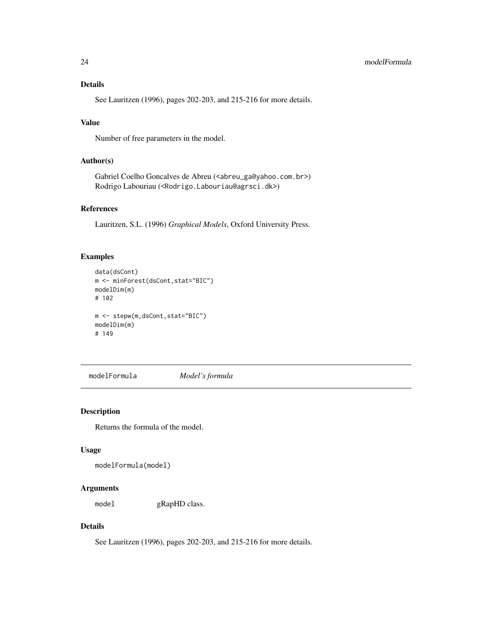## <span id="page-23-0"></span>Details

See Lauritzen (1996), pages 202-203, and 215-216 for more details.

#### Value

Number of free parameters in the model.

#### Author(s)

Gabriel Coelho Goncalves de Abreu (<abreu\_ga@yahoo.com.br>) Rodrigo Labouriau (<Rodrigo.Labouriau@agrsci.dk>)

## References

Lauritzen, S.L. (1996) *Graphical Models*, Oxford University Press.

## Examples

```
data(dsCont)
m <- minForest(dsCont,stat="BIC")
modelDim(m)
# 102
m <- stepw(m,dsCont,stat="BIC")
modelDim(m)
# 149
```
modelFormula *Model's formula*

#### Description

Returns the formula of the model.

#### Usage

```
modelFormula(model)
```
#### Arguments

model gRapHD class.

## Details

See Lauritzen (1996), pages 202-203, and 215-216 for more details.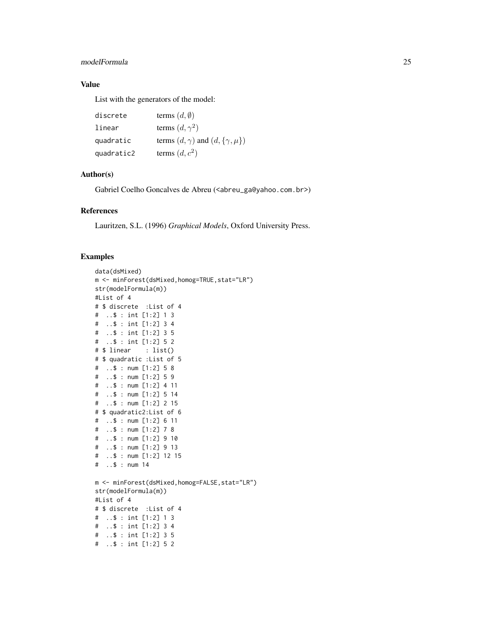## modelFormula 25

## Value

List with the generators of the model:

```
discrete terms (d, \emptyset)linear terms (d, \gamma^2)quadratic terms (d, \gamma) and (d, {\gamma, \mu})quadratic2 terms (d, c^2)
```
## Author(s)

Gabriel Coelho Goncalves de Abreu (<abreu\_ga@yahoo.com.br>)

## References

Lauritzen, S.L. (1996) *Graphical Models*, Oxford University Press.

```
data(dsMixed)
m <- minForest(dsMixed,homog=TRUE,stat="LR")
str(modelFormula(m))
#List of 4
# $ discrete :List of 4
# ..$ : int [1:2] 1 3
# ..$ : int [1:2] 3 4
# ..$ : int [1:2] 3 5
# ..$ : int [1:2] 5 2
# $ linear : list()
# $ quadratic :List of 5
# ..$ : num [1:2] 5 8
# ..$ : num [1:2] 5 9
# ..$ : num [1:2] 4 11
# ..$ : num [1:2] 5 14
# ..$ : num [1:2] 2 15
# $ quadratic2:List of 6
# ..$ : num [1:2] 6 11
# ..$ : num [1:2] 7 8
# ..$ : num [1:2] 9 10
# ..$ : num [1:2] 9 13
# ..$ : num [1:2] 12 15
# ..$ : num 14
m <- minForest(dsMixed,homog=FALSE,stat="LR")
str(modelFormula(m))
#List of 4
# $ discrete :List of 4
# ..$ : int [1:2] 1 3
# ..$ : int [1:2] 3 4
# ..$ : int [1:2] 3 5
# ..$ : int [1:2] 5 2
```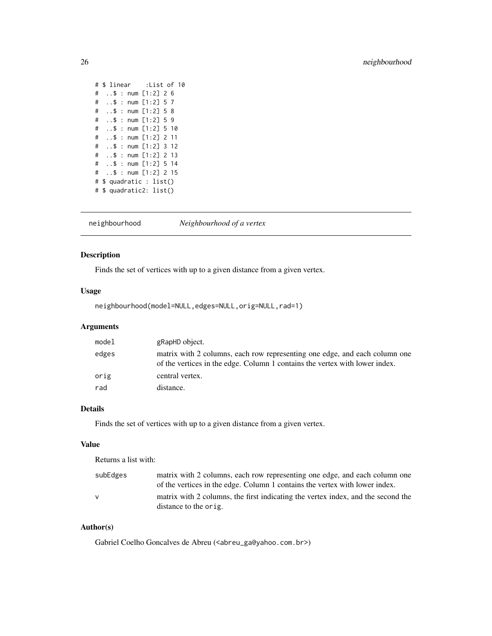```
# $ linear :List of 10
# ..$ : num [1:2] 2 6
# ..$ : num [1:2] 5 7
# ..$ : num [1:2] 5 8
# ..$ : num [1:2] 5 9
# ..$ : num [1:2] 5 10
# ..$ : num [1:2] 2 11
# ..$ : num [1:2] 3 12
# ..$ : num [1:2] 2 13
# ..$ : num [1:2] 5 14
# ..$ : num [1:2] 2 15
# $ quadratic : list()
# $ quadratic2: list()
```
neighbourhood *Neighbourhood of a vertex*

#### Description

Finds the set of vertices with up to a given distance from a given vertex.

## Usage

neighbourhood(model=NULL,edges=NULL,orig=NULL,rad=1)

## Arguments

| model | gRapHD object.                                                                                                                                            |
|-------|-----------------------------------------------------------------------------------------------------------------------------------------------------------|
| edges | matrix with 2 columns, each row representing one edge, and each column one<br>of the vertices in the edge. Column 1 contains the vertex with lower index. |
| orig  | central vertex.                                                                                                                                           |
| rad   | distance.                                                                                                                                                 |

## Details

Finds the set of vertices with up to a given distance from a given vertex.

#### Value

Returns a list with:

| subEdges | matrix with 2 columns, each row representing one edge, and each column one<br>of the vertices in the edge. Column 1 contains the vertex with lower index. |
|----------|-----------------------------------------------------------------------------------------------------------------------------------------------------------|
| V        | matrix with 2 columns, the first indicating the vertex index, and the second the<br>distance to the orig.                                                 |

#### Author(s)

Gabriel Coelho Goncalves de Abreu (<abreu\_ga@yahoo.com.br>)

<span id="page-25-0"></span>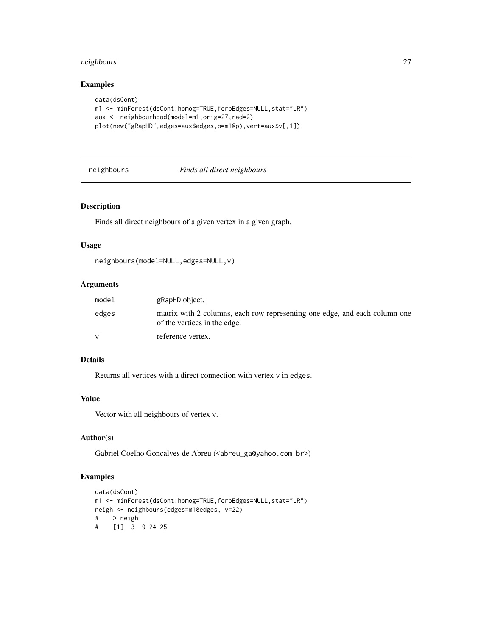## <span id="page-26-0"></span>neighbours 27

## Examples

```
data(dsCont)
m1 <- minForest(dsCont,homog=TRUE,forbEdges=NULL,stat="LR")
aux <- neighbourhood(model=m1,orig=27,rad=2)
plot(new("gRapHD",edges=aux$edges,p=m1@p),vert=aux$v[,1])
```
#### neighbours *Finds all direct neighbours*

## Description

Finds all direct neighbours of a given vertex in a given graph.

#### Usage

```
neighbours(model=NULL,edges=NULL,v)
```
#### Arguments

| model | gRapHD object.                                                                                             |
|-------|------------------------------------------------------------------------------------------------------------|
| edges | matrix with 2 columns, each row representing one edge, and each column one<br>of the vertices in the edge. |
|       | reference vertex.                                                                                          |

#### Details

Returns all vertices with a direct connection with vertex v in edges.

#### Value

Vector with all neighbours of vertex v.

## Author(s)

Gabriel Coelho Goncalves de Abreu (<abreu\_ga@yahoo.com.br>)

```
data(dsCont)
m1 <- minForest(dsCont,homog=TRUE,forbEdges=NULL,stat="LR")
neigh <- neighbours(edges=m1@edges, v=22)
# > neigh
# [1] 3 9 24 25
```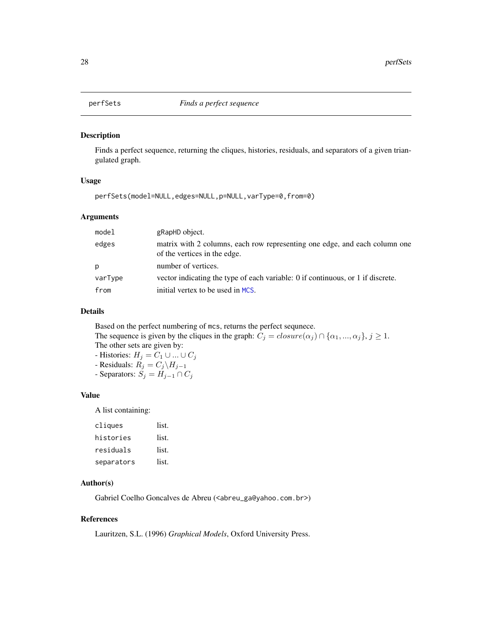<span id="page-27-0"></span>

Finds a perfect sequence, returning the cliques, histories, residuals, and separators of a given triangulated graph.

## Usage

perfSets(model=NULL,edges=NULL,p=NULL,varType=0,from=0)

## Arguments

| model   | gRapHD object.                                                                                             |
|---------|------------------------------------------------------------------------------------------------------------|
| edges   | matrix with 2 columns, each row representing one edge, and each column one<br>of the vertices in the edge. |
| p       | number of vertices.                                                                                        |
| varType | vector indicating the type of each variable: 0 if continuous, or 1 if discrete.                            |
| from    | initial vertex to be used in MCS.                                                                          |

### Details

Based on the perfect numbering of mcs, returns the perfect sequnece. The sequence is given by the cliques in the graph:  $C_j = closure(\alpha_j) \cap \{\alpha_1, ..., \alpha_j\}, j \ge 1$ . The other sets are given by: - Histories:  $H_j = C_1 \cup ... \cup C_j$ - Residuals:  $R_j = C_j \backslash H_{j-1}$ 

- Separators:  $S_j = H_{j-1} \cap C_j$ 

#### Value

A list containing:

| cliques    | list. |
|------------|-------|
| histories  | list. |
| residuals  | list. |
| separators | list. |

#### Author(s)

Gabriel Coelho Goncalves de Abreu (<abreu\_ga@yahoo.com.br>)

#### References

Lauritzen, S.L. (1996) *Graphical Models*, Oxford University Press.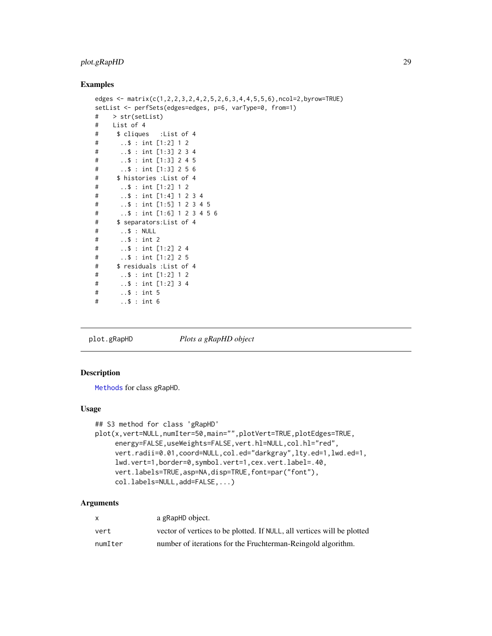## <span id="page-28-0"></span>plot.gRapHD 29

#### Examples

```
edges <- matrix(c(1,2,2,3,2,4,2,5,2,6,3,4,4,5,5,6),ncol=2,byrow=TRUE)
setList <- perfSets(edges=edges, p=6, varType=0, from=1)
# > str(setList)
# List of 4
# $ cliques :List of 4
# ..$ : int [1:2] 1 2
# ..$ : int [1:3] 2 3 4
# ..$ : int [1:3] 2 4 5
# ..$ : int [1:3] 2 5 6
# $ histories :List of 4
# ..$ : int [1:2] 1 2
# ..$ : int [1:4] 1 2 3 4
# ..$ : int [1:5] 1 2 3 4 5
# ..$ : int [1:6] 1 2 3 4 5 6
# $ separators:List of 4
# ..$ : NULL
# ..$ : int 2
# ..$ : int [1:2] 2 4
# ..$ : int [1:2] 2 5
# $ residuals :List of 4
# ..$ : int [1:2] 1 2
# ..$ : int [1:2] 3 4
# ..$ : int 5
# ..$ : int 6
```
plot.gRapHD *Plots a gRapHD object*

## Description

[Methods](#page-0-0) for class gRapHD.

#### Usage

```
## S3 method for class 'gRapHD'
plot(x,vert=NULL,numIter=50,main="",plotVert=TRUE,plotEdges=TRUE,
     energy=FALSE,useWeights=FALSE,vert.hl=NULL,col.hl="red",
     vert.radii=0.01,coord=NULL,col.ed="darkgray",lty.ed=1,lwd.ed=1,
     lwd.vert=1,border=0,symbol.vert=1,cex.vert.label=.40,
     vert.labels=TRUE,asp=NA,disp=TRUE,font=par("font"),
     col.labels=NULL,add=FALSE,...)
```
## Arguments

| x       | a gRapHD object.                                                        |
|---------|-------------------------------------------------------------------------|
| vert    | vector of vertices to be plotted. If NULL, all vertices will be plotted |
| numIter | number of iterations for the Fruchterman-Reingold algorithm.            |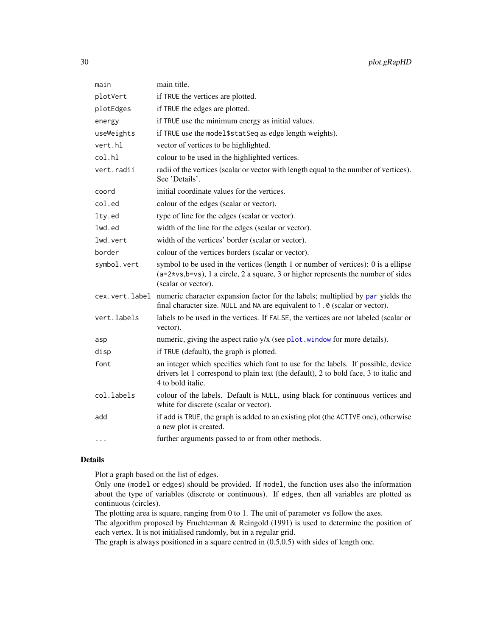<span id="page-29-0"></span>

| main           | main title.                                                                                                                                                                                      |
|----------------|--------------------------------------------------------------------------------------------------------------------------------------------------------------------------------------------------|
| plotVert       | if TRUE the vertices are plotted.                                                                                                                                                                |
| plotEdges      | if TRUE the edges are plotted.                                                                                                                                                                   |
| energy         | if TRUE use the minimum energy as initial values.                                                                                                                                                |
| useWeights     | if TRUE use the model\$statSeq as edge length weights).                                                                                                                                          |
| vert.hl        | vector of vertices to be highlighted.                                                                                                                                                            |
| col.hl         | colour to be used in the highlighted vertices.                                                                                                                                                   |
| vert.radii     | radii of the vertices (scalar or vector with length equal to the number of vertices).<br>See 'Details'.                                                                                          |
| coord          | initial coordinate values for the vertices.                                                                                                                                                      |
| col.ed         | colour of the edges (scalar or vector).                                                                                                                                                          |
| lty.ed         | type of line for the edges (scalar or vector).                                                                                                                                                   |
| lwd.ed         | width of the line for the edges (scalar or vector).                                                                                                                                              |
| lwd.vert       | width of the vertices' border (scalar or vector).                                                                                                                                                |
| border         | colour of the vertices borders (scalar or vector).                                                                                                                                               |
| symbol.vert    | symbol to be used in the vertices (length 1 or number of vertices): 0 is a ellipse<br>$(a=2*vs,b=vs), 1$ a circle, 2 a square, 3 or higher represents the number of sides<br>(scalar or vector). |
| cex.vert.label | numeric character expansion factor for the labels; multiplied by par yields the<br>final character size. NULL and NA are equivalent to 1.0 (scalar or vector).                                   |
| vert.labels    | labels to be used in the vertices. If FALSE, the vertices are not labeled (scalar or<br>vector).                                                                                                 |
| asp            | numeric, giving the aspect ratio y/x (see plot.window for more details).                                                                                                                         |
| disp           | if TRUE (default), the graph is plotted.                                                                                                                                                         |
| font           | an integer which specifies which font to use for the labels. If possible, device<br>drivers let 1 correspond to plain text (the default), 2 to bold face, 3 to italic and<br>4 to bold italic.   |
| col.labels     | colour of the labels. Default is NULL, using black for continuous vertices and<br>white for discrete (scalar or vector).                                                                         |
| add            | if add is TRUE, the graph is added to an existing plot (the ACTIVE one), otherwise<br>a new plot is created.                                                                                     |
| $\cdots$       | further arguments passed to or from other methods.                                                                                                                                               |

#### Details

Plot a graph based on the list of edges.

Only one (model or edges) should be provided. If model, the function uses also the information about the type of variables (discrete or continuous). If edges, then all variables are plotted as continuous (circles).

The plotting area is square, ranging from 0 to 1. The unit of parameter vs follow the axes.

The algorithm proposed by Fruchterman & Reingold (1991) is used to determine the position of each vertex. It is not initialised randomly, but in a regular grid.

The graph is always positioned in a square centred in (0.5,0.5) with sides of length one.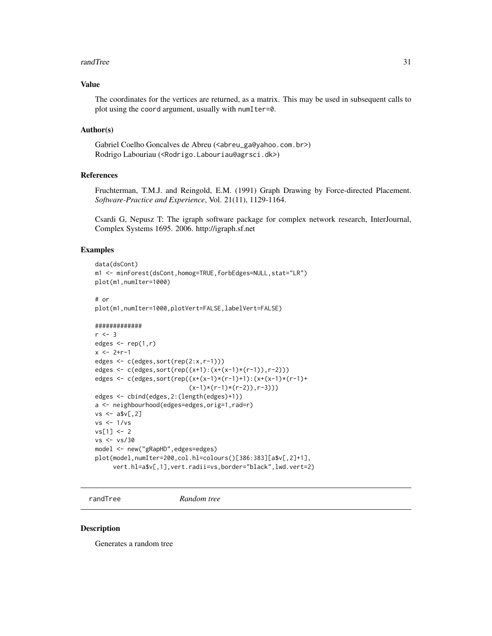#### <span id="page-30-0"></span>randTree 31

#### Value

The coordinates for the vertices are returned, as a matrix. This may be used in subsequent calls to plot using the coord argument, usually with numIter=0.

#### Author(s)

Gabriel Coelho Goncalves de Abreu (<abreu\_ga@yahoo.com.br>) Rodrigo Labouriau (<Rodrigo.Labouriau@agrsci.dk>)

#### References

Fruchterman, T.M.J. and Reingold, E.M. (1991) Graph Drawing by Force-directed Placement. *Software-Practice and Experience*, Vol. 21(11), 1129-1164.

Csardi G, Nepusz T: The igraph software package for complex network research, InterJournal, Complex Systems 1695. 2006. http://igraph.sf.net

#### Examples

# or

```
data(dsCont)
m1 <- minForest(dsCont,homog=TRUE,forbEdges=NULL,stat="LR")
plot(m1,numIter=1000)
```
plot(m1,numIter=1000,plotVert=FALSE,labelVert=FALSE)

```
#############
```

```
r < -3edges \leq rep(1,r)
x < -2+r-1edges <- c(edges,sort(rep(2:x,r-1)))
edges <- c(edges,sort(rep((x+1):(x+(x-1)*(r-1)),r-2)))
edges <- c(edges,sort(rep((x+(x-1)*(r-1)+1):(x+(x-1)*(r-1)+
                          (x-1)*(r-1)*(r-2)),r-3))edges <- cbind(edges,2:(length(edges)+1))
a <- neighbourhood(edges=edges,orig=1,rad=r)
vs < -a$v[,2]
vs <- 1/vs
vs[1] < -2vs <- vs/30
model <- new("gRapHD",edges=edges)
plot(model,numIter=200,col.hl=colours()[386:383][a$v[,2]+1],
     vert.hl=a$v[,1],vert.radii=vs,border="black",lwd.vert=2)
```
randTree *Random tree*

#### **Description**

Generates a random tree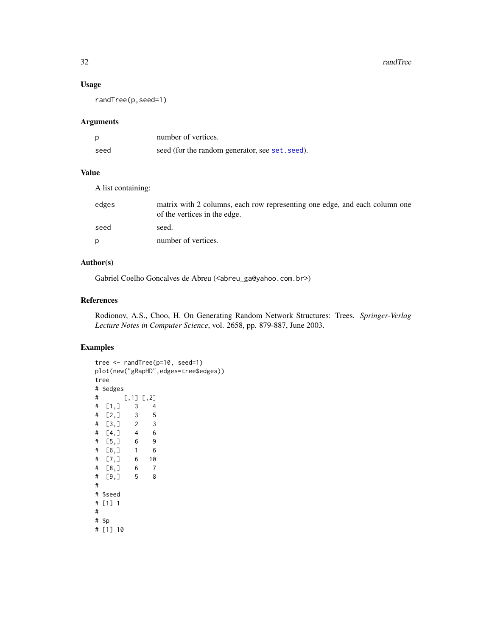#### <span id="page-31-0"></span>32 randTree

## Usage

randTree(p,seed=1)

#### Arguments

|      | number of vertices.                             |
|------|-------------------------------------------------|
| seed | seed (for the random generator, see set. seed). |

## Value

A list containing:

| edges | matrix with 2 columns, each row representing one edge, and each column one<br>of the vertices in the edge. |
|-------|------------------------------------------------------------------------------------------------------------|
| seed  | seed.                                                                                                      |
| D     | number of vertices.                                                                                        |
|       |                                                                                                            |

## Author(s)

Gabriel Coelho Goncalves de Abreu (<abreu\_ga@yahoo.com.br>)

#### References

Rodionov, A.S., Choo, H. On Generating Random Network Structures: Trees. *Springer-Verlag Lecture Notes in Computer Science*, vol. 2658, pp. 879-887, June 2003.

```
tree <- randTree(p=10, seed=1)
plot(new("gRapHD",edges=tree$edges))
tree
# $edges
# [,1] [,2]
# [1,] 3 4
# [2,] 3 5<br>
# [3,] 2 3<br>
# [4, 7]# [3,] 2
# [4,] 4 6
# [5,] 6 9
# [6,] 1 6
# [7,] 6 10
# [8,] 6 7
# [9,] 5 8
#
# $seed
# [1] 1
#
# $p
# [1] 10
```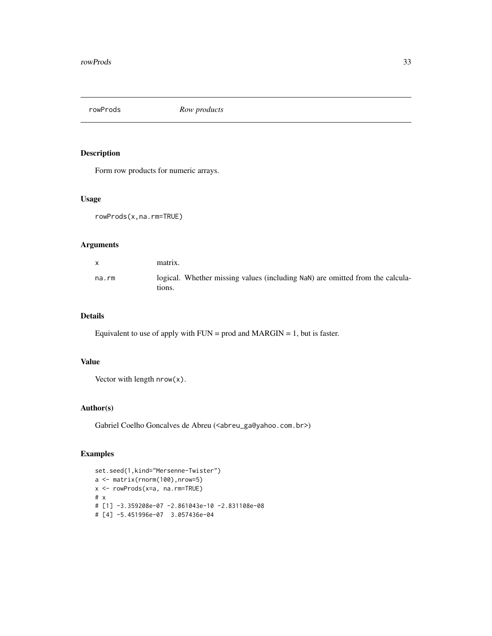<span id="page-32-0"></span>rowProds *Row products*

## Description

Form row products for numeric arrays.

#### Usage

```
rowProds(x,na.rm=TRUE)
```
## Arguments

|             | matrix.                                                                                 |
|-------------|-----------------------------------------------------------------------------------------|
| $na$ . $rm$ | logical. Whether missing values (including NaN) are omitted from the calcula-<br>tions. |

## Details

Equivalent to use of apply with  $FUN = prod$  and  $MARGIN = 1$ , but is faster.

## Value

Vector with length nrow(x).

## Author(s)

Gabriel Coelho Goncalves de Abreu (<abreu\_ga@yahoo.com.br>)

```
set.seed(1,kind="Mersenne-Twister")
a <- matrix(rnorm(100),nrow=5)
x <- rowProds(x=a, na.rm=TRUE)
# x
# [1] -3.359208e-07 -2.861043e-10 -2.831108e-08
# [4] -5.451996e-07 3.057436e-04
```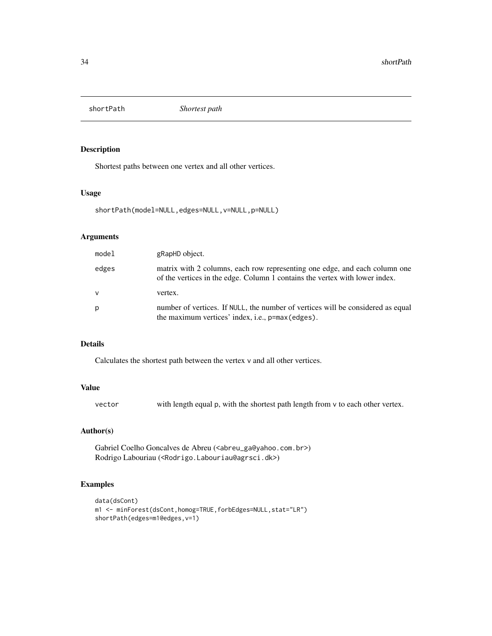<span id="page-33-0"></span>

Shortest paths between one vertex and all other vertices.

#### Usage

shortPath(model=NULL,edges=NULL,v=NULL,p=NULL)

## Arguments

| model        | gRapHD object.                                                                                                                                            |
|--------------|-----------------------------------------------------------------------------------------------------------------------------------------------------------|
| edges        | matrix with 2 columns, each row representing one edge, and each column one<br>of the vertices in the edge. Column 1 contains the vertex with lower index. |
| $\mathsf{v}$ | vertex.                                                                                                                                                   |
| p            | number of vertices. If NULL, the number of vertices will be considered as equal<br>the maximum vertices' index, i.e., $p = max$ (edges).                  |

#### Details

Calculates the shortest path between the vertex v and all other vertices.

## Value

| vector | with length equal p, with the shortest path length from v to each other vertex. |  |
|--------|---------------------------------------------------------------------------------|--|
|--------|---------------------------------------------------------------------------------|--|

## Author(s)

Gabriel Coelho Goncalves de Abreu (<abreu\_ga@yahoo.com.br>) Rodrigo Labouriau (<Rodrigo.Labouriau@agrsci.dk>)

```
data(dsCont)
m1 <- minForest(dsCont,homog=TRUE,forbEdges=NULL,stat="LR")
shortPath(edges=m1@edges,v=1)
```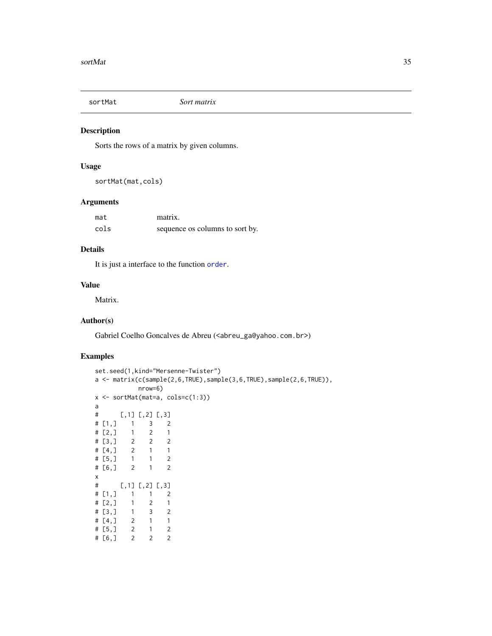<span id="page-34-0"></span>

Sorts the rows of a matrix by given columns.

### Usage

sortMat(mat,cols)

## Arguments

| mat  | matrix.                         |
|------|---------------------------------|
| cols | sequence os columns to sort by. |

## Details

It is just a interface to the function [order](#page-0-0).

#### Value

Matrix.

## Author(s)

Gabriel Coelho Goncalves de Abreu (<abreu\_ga@yahoo.com.br>)

```
set.seed(1,kind="Mersenne-Twister")
a <- matrix(c(sample(2,6,TRUE),sample(3,6,TRUE),sample(2,6,TRUE)),
           nrow=6)
x <- sortMat(mat=a, cols=c(1:3))
a
# [1, 1] [2] [3]<br># [1, 1 \ 1 \ 3 \ 2]1, 3, 2# [2,] 1 2 1
\begin{array}{cccc} \# & [3,] & 2 & 2 & 2 \\ \# & [4,] & 2 & 1 & 1 \end{array}# [4,] 2 1 1
# [5,] 1 1 2
# [6,] 2 1 2
x
# [,1] [,2] [,3]
# [1,] 1 1 2
# [2,] 1 2 1
# [3,] 1 3 2
# [4,] 2 1 1
# [5,] 2 1 2
# [6,] 2 2 2
```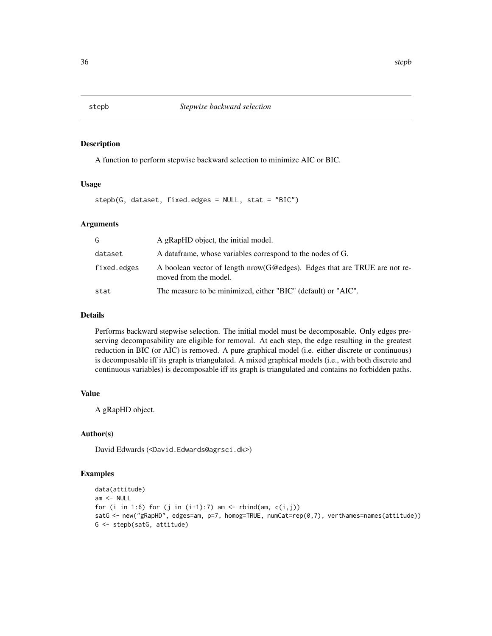<span id="page-35-0"></span>

A function to perform stepwise backward selection to minimize AIC or BIC.

## Usage

stepb(G, dataset, fixed.edges = NULL, stat = "BIC")

#### Arguments

| G           | A gRapHD object, the initial model.                                                                  |
|-------------|------------------------------------------------------------------------------------------------------|
| dataset     | A data frame, whose variables correspond to the nodes of G.                                          |
| fixed.edges | A boolean vector of length $now(G@edges)$ . Edges that are TRUE are not re-<br>moved from the model. |
| stat        | The measure to be minimized, either "BIC" (default) or "AIC".                                        |

#### Details

Performs backward stepwise selection. The initial model must be decomposable. Only edges preserving decomposability are eligible for removal. At each step, the edge resulting in the greatest reduction in BIC (or AIC) is removed. A pure graphical model (i.e. either discrete or continuous) is decomposable iff its graph is triangulated. A mixed graphical models (i.e., with both discrete and continuous variables) is decomposable iff its graph is triangulated and contains no forbidden paths.

## Value

A gRapHD object.

#### Author(s)

David Edwards (<David.Edwards@agrsci.dk>)

```
data(attitude)
am < - NULL
for (i in 1:6) for (j in (i+1):7) am <- rbind(am, c(i,j))
satG <- new("gRapHD", edges=am, p=7, homog=TRUE, numCat=rep(0,7), vertNames=names(attitude))
G <- stepb(satG, attitude)
```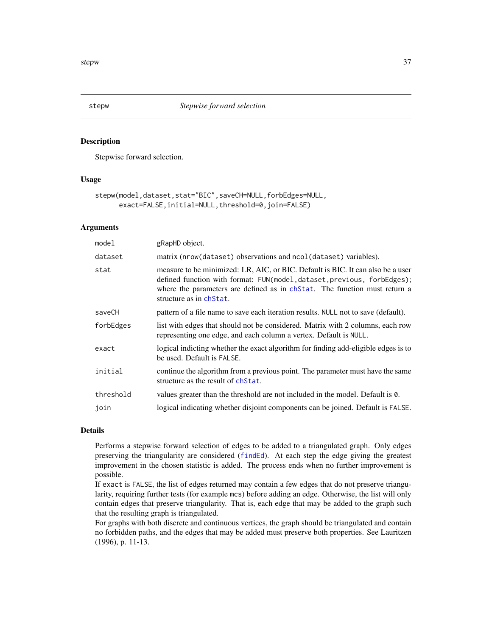<span id="page-36-1"></span><span id="page-36-0"></span>

Stepwise forward selection.

#### Usage

```
stepw(model,dataset,stat="BIC",saveCH=NULL,forbEdges=NULL,
     exact=FALSE,initial=NULL,threshold=0,join=FALSE)
```
#### **Arguments**

| gRapHD object.                                                                                                                                                                                                                                                     |
|--------------------------------------------------------------------------------------------------------------------------------------------------------------------------------------------------------------------------------------------------------------------|
| matrix (nrow(dataset) observations and ncol(dataset) variables).                                                                                                                                                                                                   |
| measure to be minimized: LR, AIC, or BIC. Default is BIC. It can also be a user<br>defined function with format: FUN(model, dataset, previous, forbEdges);<br>where the parameters are defined as in changer The function must return a<br>structure as in chStat. |
| pattern of a file name to save each iteration results. NULL not to save (default).                                                                                                                                                                                 |
| list with edges that should not be considered. Matrix with 2 columns, each row<br>representing one edge, and each column a vertex. Default is NULL.                                                                                                                |
| logical indicting whether the exact algorithm for finding add-eligible edges is to<br>be used. Default is FALSE.                                                                                                                                                   |
| continue the algorithm from a previous point. The parameter must have the same<br>structure as the result of ch <sub>Stat</sub> .                                                                                                                                  |
| values greater than the threshold are not included in the model. Default is 0.                                                                                                                                                                                     |
| logical indicating whether disjoint components can be joined. Default is FALSE.                                                                                                                                                                                    |
|                                                                                                                                                                                                                                                                    |

### Details

Performs a stepwise forward selection of edges to be added to a triangulated graph. Only edges preserving the triangularity are considered ([findEd](#page-12-1)). At each step the edge giving the greatest improvement in the chosen statistic is added. The process ends when no further improvement is possible.

If exact is FALSE, the list of edges returned may contain a few edges that do not preserve triangularity, requiring further tests (for example mcs) before adding an edge. Otherwise, the list will only contain edges that preserve triangularity. That is, each edge that may be added to the graph such that the resulting graph is triangulated.

For graphs with both discrete and continuous vertices, the graph should be triangulated and contain no forbidden paths, and the edges that may be added must preserve both properties. See Lauritzen (1996), p. 11-13.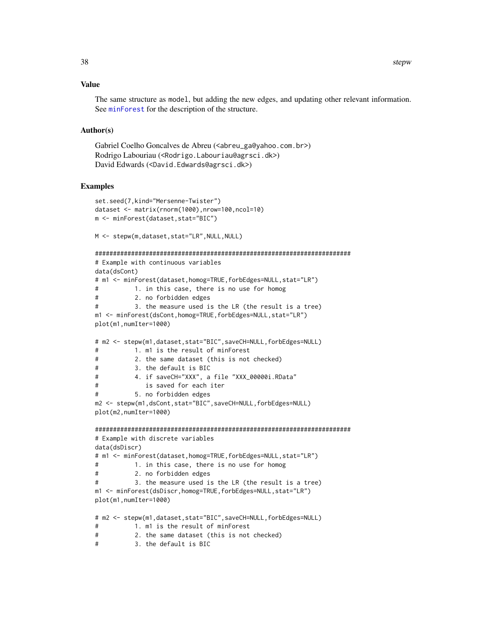#### <span id="page-37-0"></span>Value

The same structure as model, but adding the new edges, and updating other relevant information. See [minForest](#page-20-1) for the description of the structure.

#### Author(s)

```
Gabriel Coelho Goncalves de Abreu (<abreu_ga@yahoo.com.br>)
Rodrigo Labouriau (<Rodrigo.Labouriau@agrsci.dk>)
David Edwards (<David.Edwards@agrsci.dk>)
```
#### Examples

```
set.seed(7,kind="Mersenne-Twister")
dataset <- matrix(rnorm(1000),nrow=100,ncol=10)
m <- minForest(dataset,stat="BIC")
M <- stepw(m,dataset,stat="LR",NULL,NULL)
#######################################################################
# Example with continuous variables
data(dsCont)
# m1 <- minForest(dataset,homog=TRUE,forbEdges=NULL,stat="LR")
# 1. in this case, there is no use for homog
# 2. no forbidden edges
# 3. the measure used is the LR (the result is a tree)
m1 <- minForest(dsCont,homog=TRUE,forbEdges=NULL,stat="LR")
plot(m1,numIter=1000)
# m2 <- stepw(m1,dataset,stat="BIC",saveCH=NULL,forbEdges=NULL)
# 1. m1 is the result of minForest
# 2. the same dataset (this is not checked)
# 3. the default is BIC
# 4. if saveCH="XXX", a file "XXX_00000i.RData"
# is saved for each iter
# 5. no forbidden edges
m2 <- stepw(m1,dsCont,stat="BIC",saveCH=NULL,forbEdges=NULL)
plot(m2,numIter=1000)
#######################################################################
# Example with discrete variables
data(dsDiscr)
# m1 <- minForest(dataset,homog=TRUE,forbEdges=NULL,stat="LR")
# 1. in this case, there is no use for homog
# 2. no forbidden edges
# 3. the measure used is the LR (the result is a tree)
m1 <- minForest(dsDiscr,homog=TRUE,forbEdges=NULL,stat="LR")
plot(m1,numIter=1000)
# m2 <- stepw(m1,dataset,stat="BIC",saveCH=NULL,forbEdges=NULL)
# 1. m1 is the result of minForest
# 2. the same dataset (this is not checked)
```
# 3. the default is BIC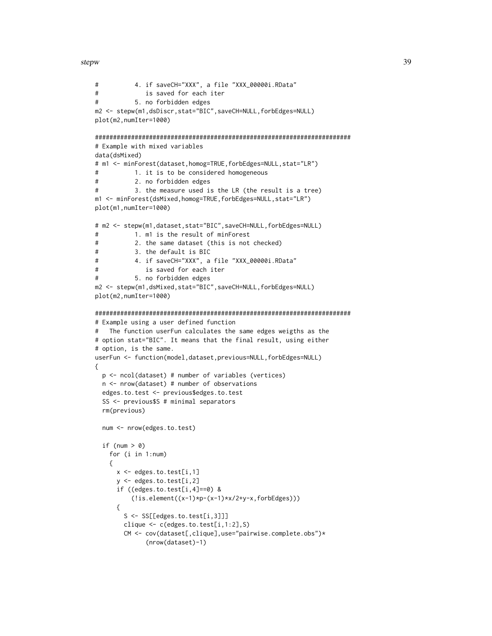stepw 39

```
# 4. if saveCH="XXX", a file "XXX_00000i.RData"
# is saved for each iter
# 5. no forbidden edges
m2 <- stepw(m1,dsDiscr,stat="BIC",saveCH=NULL,forbEdges=NULL)
plot(m2,numIter=1000)
#######################################################################
# Example with mixed variables
data(dsMixed)
# m1 <- minForest(dataset,homog=TRUE,forbEdges=NULL,stat="LR")
# 1. it is to be considered homogeneous
# 2. no forbidden edges
# 3. the measure used is the LR (the result is a tree)
m1 <- minForest(dsMixed,homog=TRUE,forbEdges=NULL,stat="LR")
plot(m1,numIter=1000)
# m2 <- stepw(m1,dataset,stat="BIC",saveCH=NULL,forbEdges=NULL)
# 1. m1 is the result of minForest
# 2. the same dataset (this is not checked)
# 3. the default is BIC
# 4. if saveCH="XXX", a file "XXX_00000i.RData"
# is saved for each iter
# 5. no forbidden edges
m2 <- stepw(m1,dsMixed,stat="BIC",saveCH=NULL,forbEdges=NULL)
plot(m2,numIter=1000)
#######################################################################
# Example using a user defined function
# The function userFun calculates the same edges weigths as the
# option stat="BIC". It means that the final result, using either
# option, is the same.
userFun <- function(model,dataset,previous=NULL,forbEdges=NULL)
{
 p <- ncol(dataset) # number of variables (vertices)
 n <- nrow(dataset) # number of observations
 edges.to.test <- previous$edges.to.test
 SS <- previous$S # minimal separators
 rm(previous)
 num <- nrow(edges.to.test)
 if (num > 0)
   for (i in 1:num)
   {
     x <- edges.to.test[i,1]
     y <- edges.to.test[i,2]
     if ((edges.to.test[i,4]=0) &
         (!is.element((x-1)*p-(x-1)*x/2+y-x,forbEdges)))
     {
       S <- SS[[edges.to.test[i,3]]]
       clique <- c(edges.to.test[i,1:2],S)
       CM <- cov(dataset[,clique],use="pairwise.complete.obs")*
             (nrow(dataset)-1)
```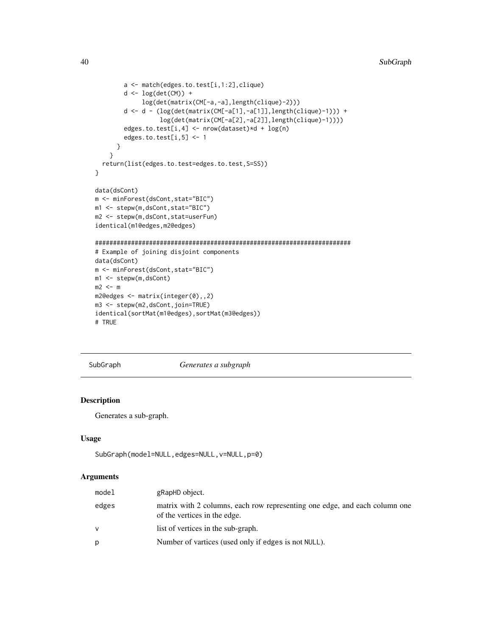```
a <- match(edges.to.test[i,1:2],clique)
        d <- log(det(CM)) +
             log(det(matrix(CM[-a,-a],length(clique)-2)))
        d <- d - (log(det(matrix(CM[-a[1],-a[1]],length(clique)-1))) +
                  log(det(matrix(CM[-a[2],-a[2]],length(clique)-1))))
        edges.to.test[i,4] <- nrow(dataset)*d + log(n)
        edges.to.test[i,5] <- 1
      }
    }
  return(list(edges.to.test=edges.to.test,S=SS))
}
data(dsCont)
m <- minForest(dsCont,stat="BIC")
m1 <- stepw(m,dsCont,stat="BIC")
m2 <- stepw(m,dsCont,stat=userFun)
identical(m1@edges,m2@edges)
#######################################################################
# Example of joining disjoint components
data(dsCont)
m <- minForest(dsCont,stat="BIC")
m1 <- stepw(m,dsCont)
m2 < - mm2@edges <- matrix(integer(0),,2)
m3 <- stepw(m2,dsCont,join=TRUE)
identical(sortMat(m1@edges),sortMat(m3@edges))
# TRUE
```
SubGraph *Generates a subgraph*

### Description

Generates a sub-graph.

#### Usage

```
SubGraph(model=NULL,edges=NULL,v=NULL,p=0)
```
#### Arguments

| model | gRapHD object.                                                                                             |
|-------|------------------------------------------------------------------------------------------------------------|
| edges | matrix with 2 columns, each row representing one edge, and each column one<br>of the vertices in the edge. |
|       | list of vertices in the sub-graph.                                                                         |
| p     | Number of vartices (used only if edges is not NULL).                                                       |

<span id="page-39-0"></span>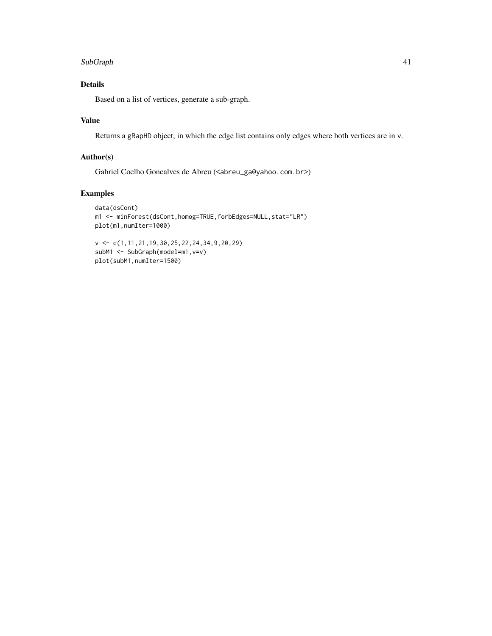#### SubGraph 41

## Details

Based on a list of vertices, generate a sub-graph.

## Value

Returns a gRapHD object, in which the edge list contains only edges where both vertices are in v.

## Author(s)

Gabriel Coelho Goncalves de Abreu (<abreu\_ga@yahoo.com.br>)

## Examples

```
data(dsCont)
m1 <- minForest(dsCont,homog=TRUE,forbEdges=NULL,stat="LR")
plot(m1,numIter=1000)
```
v <- c(1,11,21,19,30,25,22,24,34,9,20,29) subM1 <- SubGraph(model=m1,v=v) plot(subM1,numIter=1500)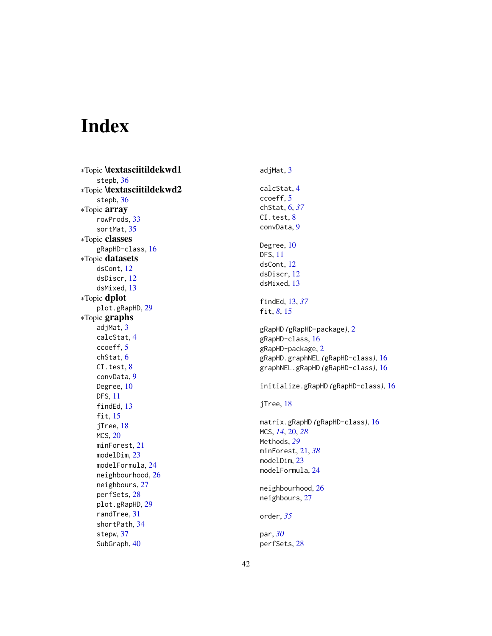# <span id="page-41-0"></span>Index

∗Topic \textasciitildekwd1 stepb , [36](#page-35-0) ∗Topic \textasciitildekwd2 stepb , [36](#page-35-0) ∗Topic array rowProds , [33](#page-32-0) sortMat , [35](#page-34-0) ∗Topic classes gRapHD-class , [16](#page-15-0) ∗Topic datasets dsCont , [12](#page-11-0) dsDiscr , [12](#page-11-0) dsMixed , [13](#page-12-0) ∗Topic dplot plot.gRapHD , [29](#page-28-0) ∗Topic graphs adjMat, [3](#page-2-0) calcStat , [4](#page-3-0) ccoeff , [5](#page-4-0) chStat , [6](#page-5-0) CI.test, [8](#page-7-0) convData , [9](#page-8-0) Degree, [10](#page-9-0) DFS , [11](#page-10-0) findEd, [13](#page-12-0) fit , [15](#page-14-0) jTree, [18](#page-17-0) MCS, [20](#page-19-0) minForest , [21](#page-20-0) modelDim, [23](#page-22-0) modelFormula,[24](#page-23-0) neighbourhood , [26](#page-25-0) neighbours , [27](#page-26-0) perfSets , [28](#page-27-0) plot.gRapHD, [29](#page-28-0) randTree , [31](#page-30-0) shortPath , [34](#page-33-0) stepw, [37](#page-36-0) SubGraph , [40](#page-39-0)

adjMat, <mark>[3](#page-2-0)</mark> calcStat , [4](#page-3-0) ccoeff , [5](#page-4-0) chStat , [6](#page-5-0) , *[37](#page-36-0)* CI.test, <mark>[8](#page-7-0)</mark> convData , [9](#page-8-0) Degree, [10](#page-9-0) DFS , [11](#page-10-0) dsCont , [12](#page-11-0) dsDiscr , [12](#page-11-0) dsMixed , [13](#page-12-0) findEd , [13](#page-12-0) , *[37](#page-36-0)* fit , *[8](#page-7-0)* , [15](#page-14-0) gRapHD *(*gRapHD-package *)* , [2](#page-1-0) gRapHD-class , [16](#page-15-0) gRapHD-package , [2](#page-1-0) gRapHD.graphNEL *(*gRapHD-class *)* , [16](#page-15-0) graphNEL.gRapHD *(*gRapHD-class *)* , [16](#page-15-0) initialize.gRapHD *(*gRapHD-class *)* , [16](#page-15-0) jTree, [18](#page-17-0) matrix.gRapHD *(*gRapHD-class *)* , [16](#page-15-0) MCS , *[14](#page-13-0)* , [20](#page-19-0) , *[28](#page-27-0)* Methods , *[29](#page-28-0)* minForest , [21](#page-20-0) , *[38](#page-37-0)* modelDim , [23](#page-22-0) modelFormula,[24](#page-23-0) neighbourhood , [26](#page-25-0) neighbours , [27](#page-26-0) order , *[35](#page-34-0)* par , *[30](#page-29-0)* perfSets , [28](#page-27-0)